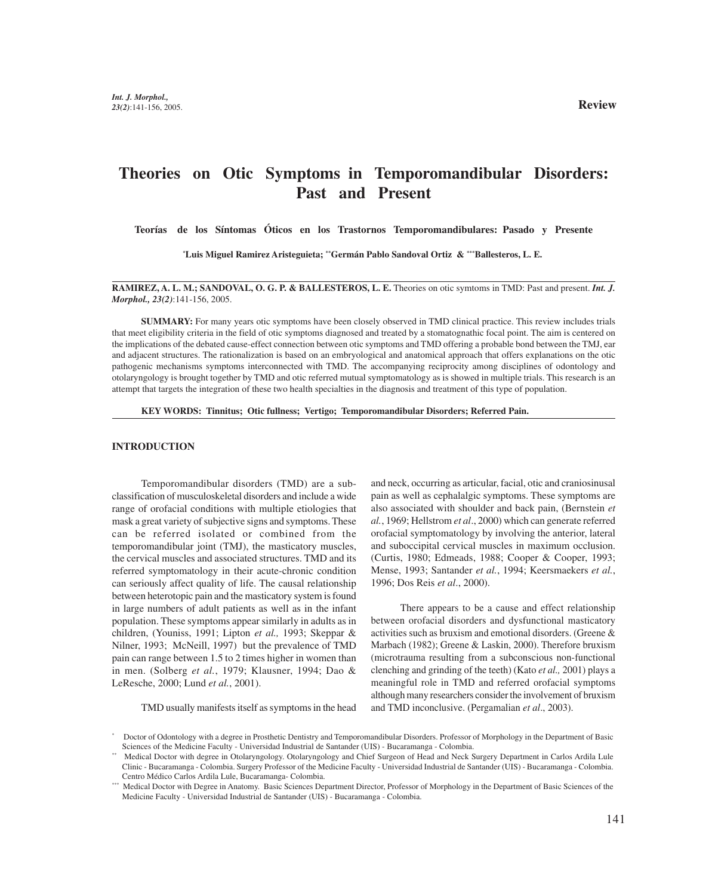# **Theories on Otic Symptoms in Temporomandibular Disorders: Past and Present**

**Teorías de los Síntomas Óticos en los Trastornos Temporomandibulares: Pasado y Presente**

**\* Luis Miguel Ramirez Aristeguieta; \*\*Germán Pablo Sandoval Ortiz & \*\*\*Ballesteros, L. E.**

**RAMIREZ, A. L. M.; SANDOVAL, O. G. P. & BALLESTEROS, L. E.** Theories on otic symtoms in TMD: Past and present. *Int. J. Morphol., 23(2)*:141-156, 2005.

**SUMMARY:** For many years otic symptoms have been closely observed in TMD clinical practice. This review includes trials that meet eligibility criteria in the field of otic symptoms diagnosed and treated by a stomatognathic focal point. The aim is centered on the implications of the debated cause-effect connection between otic symptoms and TMD offering a probable bond between the TMJ, ear and adjacent structures. The rationalization is based on an embryological and anatomical approach that offers explanations on the otic pathogenic mechanisms symptoms interconnected with TMD. The accompanying reciprocity among disciplines of odontology and otolaryngology is brought together by TMD and otic referred mutual symptomatology as is showed in multiple trials. This research is an attempt that targets the integration of these two health specialties in the diagnosis and treatment of this type of population.

**KEY WORDS: Tinnitus; Otic fullness; Vertigo; Temporomandibular Disorders; Referred Pain.**

# **INTRODUCTION**

Temporomandibular disorders (TMD) are a subclassification of musculoskeletal disorders and include a wide range of orofacial conditions with multiple etiologies that mask a great variety of subjective signs and symptoms. These can be referred isolated or combined from the temporomandibular joint (TMJ), the masticatory muscles, the cervical muscles and associated structures. TMD and its referred symptomatology in their acute-chronic condition can seriously affect quality of life. The causal relationship between heterotopic pain and the masticatory system is found in large numbers of adult patients as well as in the infant population. These symptoms appear similarly in adults as in children, (Youniss, 1991; Lipton *et al.,* 1993; Skeppar & Nilner, 1993; McNeill, 1997) but the prevalence of TMD pain can range between 1.5 to 2 times higher in women than in men. (Solberg *et al.*, 1979; Klausner, 1994; Dao & LeResche, 2000; Lund *et al.*, 2001).

TMD usually manifests itself as symptoms in the head

and neck, occurring as articular, facial, otic and craniosinusal pain as well as cephalalgic symptoms. These symptoms are also associated with shoulder and back pain, (Bernstein *et al.*, 1969; Hellstrom *et al*., 2000) which can generate referred orofacial symptomatology by involving the anterior, lateral and suboccipital cervical muscles in maximum occlusion. (Curtis, 1980; Edmeads, 1988; Cooper & Cooper, 1993; Mense, 1993; Santander *et al.*, 1994; Keersmaekers *et al.*, 1996; Dos Reis *et al*., 2000).

There appears to be a cause and effect relationship between orofacial disorders and dysfunctional masticatory activities such as bruxism and emotional disorders. (Greene & Marbach (1982); Greene & Laskin, 2000). Therefore bruxism (microtrauma resulting from a subconscious non-functional clenching and grinding of the teeth) (Kato *et al.,* 2001) plays a meaningful role in TMD and referred orofacial symptoms although many researchers consider the involvement of bruxism and TMD inconclusive. (Pergamalian *et al*., 2003).

<sup>\*</sup> Doctor of Odontology with a degree in Prosthetic Dentistry and Temporomandibular Disorders. Professor of Morphology in the Department of Basic Sciences of the Medicine Faculty - Universidad Industrial de Santander (UIS) - Bucaramanga - Colombia.

<sup>\*\*</sup> Medical Doctor with degree in Otolaryngology. Otolaryngology and Chief Surgeon of Head and Neck Surgery Department in Carlos Ardila Lule Clinic - Bucaramanga - Colombia. Surgery Professor of the Medicine Faculty - Universidad Industrial de Santander (UIS) - Bucaramanga - Colombia. Centro Médico Carlos Ardila Lule, Bucaramanga- Colombia.

<sup>\*\*\*</sup> Medical Doctor with Degree in Anatomy. Basic Sciences Department Director, Professor of Morphology in the Department of Basic Sciences of the Medicine Faculty - Universidad Industrial de Santander (UIS) - Bucaramanga - Colombia.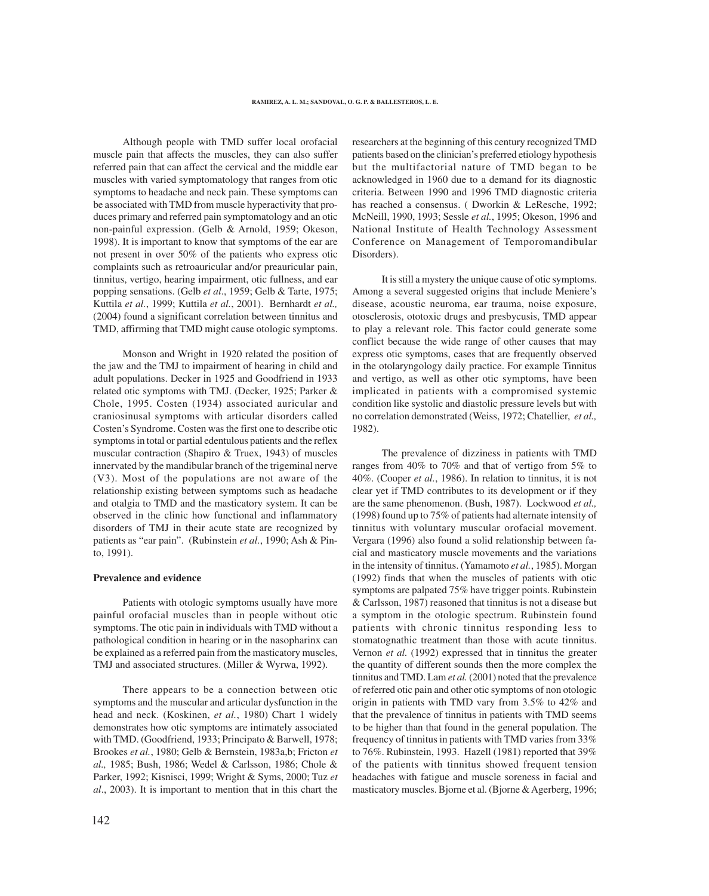Although people with TMD suffer local orofacial muscle pain that affects the muscles, they can also suffer referred pain that can affect the cervical and the middle ear muscles with varied symptomatology that ranges from otic symptoms to headache and neck pain. These symptoms can be associated with TMD from muscle hyperactivity that produces primary and referred pain symptomatology and an otic non-painful expression. (Gelb & Arnold, 1959; Okeson, 1998). It is important to know that symptoms of the ear are not present in over 50% of the patients who express otic complaints such as retroauricular and/or preauricular pain, tinnitus, vertigo, hearing impairment, otic fullness, and ear popping sensations. (Gelb *et al*., 1959; Gelb & Tarte, 1975; Kuttila *et al.*, 1999; Kuttila *et al.*, 2001). Bernhardt *et al.,* (2004) found a significant correlation between tinnitus and TMD, affirming that TMD might cause otologic symptoms.

Monson and Wright in 1920 related the position of the jaw and the TMJ to impairment of hearing in child and adult populations. Decker in 1925 and Goodfriend in 1933 related otic symptoms with TMJ. (Decker, 1925; Parker & Chole, 1995. Costen (1934) associated auricular and craniosinusal symptoms with articular disorders called Costen's Syndrome. Costen was the first one to describe otic symptoms in total or partial edentulous patients and the reflex muscular contraction (Shapiro & Truex, 1943) of muscles innervated by the mandibular branch of the trigeminal nerve (V3). Most of the populations are not aware of the relationship existing between symptoms such as headache and otalgia to TMD and the masticatory system. It can be observed in the clinic how functional and inflammatory disorders of TMJ in their acute state are recognized by patients as "ear pain". (Rubinstein *et al.*, 1990; Ash & Pinto, 1991).

#### **Prevalence and evidence**

Patients with otologic symptoms usually have more painful orofacial muscles than in people without otic symptoms. The otic pain in individuals with TMD without a pathological condition in hearing or in the nasopharinx can be explained as a referred pain from the masticatory muscles, TMJ and associated structures. (Miller & Wyrwa, 1992).

There appears to be a connection between otic symptoms and the muscular and articular dysfunction in the head and neck. (Koskinen, *et al.*, 1980) Chart 1 widely demonstrates how otic symptoms are intimately associated with TMD. (Goodfriend, 1933; Principato & Barwell, 1978; Brookes *et al.*, 1980; Gelb & Bernstein, 1983a,b; Fricton *et al.,* 1985; Bush, 1986; Wedel & Carlsson, 1986; Chole & Parker, 1992; Kisnisci, 1999; Wright & Syms, 2000; Tuz *et al*., 2003). It is important to mention that in this chart the

patients based on the clinician's preferred etiology hypothesis but the multifactorial nature of TMD began to be acknowledged in 1960 due to a demand for its diagnostic criteria. Between 1990 and 1996 TMD diagnostic criteria has reached a consensus. ( Dworkin & LeResche, 1992; McNeill, 1990, 1993; Sessle *et al.*, 1995; Okeson, 1996 and National Institute of Health Technology Assessment Conference on Management of Temporomandibular Disorders). It is still a mystery the unique cause of otic symptoms.

Among a several suggested origins that include Meniere's disease, acoustic neuroma, ear trauma, noise exposure, otosclerosis, ototoxic drugs and presbycusis, TMD appear to play a relevant role. This factor could generate some conflict because the wide range of other causes that may express otic symptoms, cases that are frequently observed in the otolaryngology daily practice. For example Tinnitus and vertigo, as well as other otic symptoms, have been implicated in patients with a compromised systemic condition like systolic and diastolic pressure levels but with no correlation demonstrated (Weiss, 1972; Chatellier, *et al.,* 1982).

researchers at the beginning of this century recognized TMD

The prevalence of dizziness in patients with TMD ranges from 40% to 70% and that of vertigo from 5% to 40%. (Cooper *et al.*, 1986). In relation to tinnitus, it is not clear yet if TMD contributes to its development or if they are the same phenomenon. (Bush, 1987). Lockwood *et al.,* (1998) found up to 75% of patients had alternate intensity of tinnitus with voluntary muscular orofacial movement. Vergara (1996) also found a solid relationship between facial and masticatory muscle movements and the variations in the intensity of tinnitus. (Yamamoto *et al.*, 1985). Morgan (1992) finds that when the muscles of patients with otic symptoms are palpated 75% have trigger points. Rubinstein & Carlsson, 1987) reasoned that tinnitus is not a disease but a symptom in the otologic spectrum. Rubinstein found patients with chronic tinnitus responding less to stomatognathic treatment than those with acute tinnitus. Vernon *et al.* (1992) expressed that in tinnitus the greater the quantity of different sounds then the more complex the tinnitus and TMD. Lam *et al.* (2001) noted that the prevalence of referred otic pain and other otic symptoms of non otologic origin in patients with TMD vary from 3.5% to 42% and that the prevalence of tinnitus in patients with TMD seems to be higher than that found in the general population. The frequency of tinnitus in patients with TMD varies from 33% to 76%. Rubinstein, 1993. Hazell (1981) reported that 39% of the patients with tinnitus showed frequent tension headaches with fatigue and muscle soreness in facial and masticatory muscles. Bjorne et al. (Bjorne & Agerberg, 1996;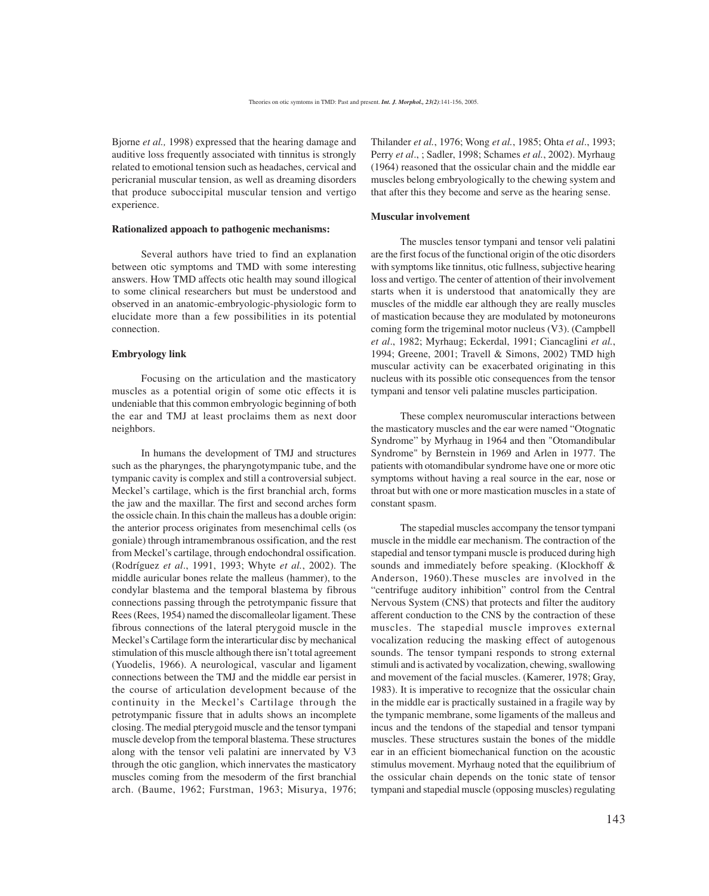Bjorne *et al.,* 1998) expressed that the hearing damage and auditive loss frequently associated with tinnitus is strongly related to emotional tension such as headaches, cervical and pericranial muscular tension, as well as dreaming disorders that produce suboccipital muscular tension and vertigo experience.

#### **Rationalized appoach to pathogenic mechanisms:**

Several authors have tried to find an explanation between otic symptoms and TMD with some interesting answers. How TMD affects otic health may sound illogical to some clinical researchers but must be understood and observed in an anatomic-embryologic-physiologic form to elucidate more than a few possibilities in its potential connection.

#### **Embryology link**

Focusing on the articulation and the masticatory muscles as a potential origin of some otic effects it is undeniable that this common embryologic beginning of both the ear and TMJ at least proclaims them as next door neighbors.

In humans the development of TMJ and structures such as the pharynges, the pharyngotympanic tube, and the tympanic cavity is complex and still a controversial subject. Meckel's cartilage, which is the first branchial arch, forms the jaw and the maxillar. The first and second arches form the ossicle chain. In this chain the malleus has a double origin: the anterior process originates from mesenchimal cells (os goniale) through intramembranous ossification, and the rest from Meckel's cartilage, through endochondral ossification. (Rodríguez *et al*., 1991, 1993; Whyte *et al.*, 2002). The middle auricular bones relate the malleus (hammer), to the condylar blastema and the temporal blastema by fibrous connections passing through the petrotympanic fissure that Rees (Rees, 1954) named the discomalleolar ligament. These fibrous connections of the lateral pterygoid muscle in the Meckel's Cartilage form the interarticular disc by mechanical stimulation of this muscle although there isn't total agreement (Yuodelis, 1966). A neurological, vascular and ligament connections between the TMJ and the middle ear persist in the course of articulation development because of the continuity in the Meckel's Cartilage through the petrotympanic fissure that in adults shows an incomplete closing. The medial pterygoid muscle and the tensor tympani muscle develop from the temporal blastema. These structures along with the tensor veli palatini are innervated by V3 through the otic ganglion, which innervates the masticatory muscles coming from the mesoderm of the first branchial arch. (Baume, 1962; Furstman, 1963; Misurya, 1976;

Thilander *et al.*, 1976; Wong *et al.*, 1985; Ohta *et al*., 1993; Perry *et al*., ; Sadler, 1998; Schames *et al.*, 2002). Myrhaug (1964) reasoned that the ossicular chain and the middle ear muscles belong embryologically to the chewing system and that after this they become and serve as the hearing sense.

#### **Muscular involvement**

The muscles tensor tympani and tensor veli palatini are the first focus of the functional origin of the otic disorders with symptoms like tinnitus, otic fullness, subjective hearing loss and vertigo. The center of attention of their involvement starts when it is understood that anatomically they are muscles of the middle ear although they are really muscles of mastication because they are modulated by motoneurons coming form the trigeminal motor nucleus (V3). (Campbell *et al*., 1982; Myrhaug; Eckerdal, 1991; Ciancaglini *et al.*, 1994; Greene, 2001; Travell & Simons, 2002) TMD high muscular activity can be exacerbated originating in this nucleus with its possible otic consequences from the tensor tympani and tensor veli palatine muscles participation.

These complex neuromuscular interactions between the masticatory muscles and the ear were named "Otognatic Syndrome" by Myrhaug in 1964 and then "Otomandibular Syndrome" by Bernstein in 1969 and Arlen in 1977. The patients with otomandibular syndrome have one or more otic symptoms without having a real source in the ear, nose or throat but with one or more mastication muscles in a state of constant spasm.

The stapedial muscles accompany the tensor tympani muscle in the middle ear mechanism. The contraction of the stapedial and tensor tympani muscle is produced during high sounds and immediately before speaking. (Klockhoff & Anderson, 1960).These muscles are involved in the "centrifuge auditory inhibition" control from the Central Nervous System (CNS) that protects and filter the auditory afferent conduction to the CNS by the contraction of these muscles. The stapedial muscle improves external vocalization reducing the masking effect of autogenous sounds. The tensor tympani responds to strong external stimuli and is activated by vocalization, chewing, swallowing and movement of the facial muscles. (Kamerer, 1978; Gray, 1983). It is imperative to recognize that the ossicular chain in the middle ear is practically sustained in a fragile way by the tympanic membrane, some ligaments of the malleus and incus and the tendons of the stapedial and tensor tympani muscles. These structures sustain the bones of the middle ear in an efficient biomechanical function on the acoustic stimulus movement. Myrhaug noted that the equilibrium of the ossicular chain depends on the tonic state of tensor tympani and stapedial muscle (opposing muscles) regulating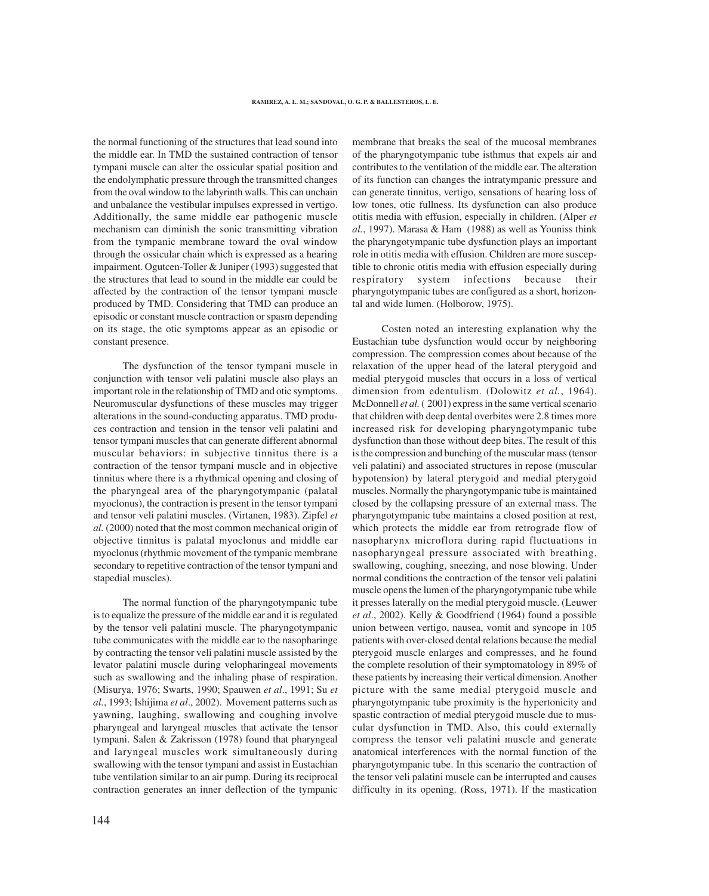the normal functioning of the structures that lead sound into the middle ear. In TMD the sustained contraction of tensor tympani muscle can alter the ossicular spatial position and the endolymphatic pressure through the transmitted changes from the oval window to the labyrinth walls. This can unchain and unbalance the vestibular impulses expressed in vertigo. Additionally, the same middle ear pathogenic muscle mechanism can diminish the sonic transmitting vibration from the tympanic membrane toward the oval window through the ossicular chain which is expressed as a hearing impairment. Ogutcen-Toller & Juniper (1993) suggested that the structures that lead to sound in the middle ear could be affected by the contraction of the tensor tympani muscle produced by TMD. Considering that TMD can produce an episodic or constant muscle contraction or spasm depending on its stage, the otic symptoms appear as an episodic or constant presence.

The dysfunction of the tensor tympani muscle in conjunction with tensor veli palatini muscle also plays an important role in the relationship of TMD and otic symptoms. Neuromuscular dysfunctions of these muscles may trigger alterations in the sound-conducting apparatus. TMD produces contraction and tension in the tensor veli palatini and tensor tympani muscles that can generate different abnormal muscular behaviors: in subjective tinnitus there is a contraction of the tensor tympani muscle and in objective tinnitus where there is a rhythmical opening and closing of the pharyngeal area of the pharyngotympanic (palatal myoclonus), the contraction is present in the tensor tympani and tensor veli palatini muscles. (Virtanen, 1983). Zipfel *et al.* (2000) noted that the most common mechanical origin of objective tinnitus is palatal myoclonus and middle ear myoclonus (rhythmic movement of the tympanic membrane secondary to repetitive contraction of the tensor tympani and stapedial muscles).

The normal function of the pharyngotympanic tube is to equalize the pressure of the middle ear and it is regulated by the tensor veli palatini muscle. The pharyngotympanic tube communicates with the middle ear to the nasopharinge by contracting the tensor veli palatini muscle assisted by the levator palatini muscle during velopharingeal movements such as swallowing and the inhaling phase of respiration. (Misurya, 1976; Swarts, 1990; Spauwen *et al*., 1991; Su *et al.*, 1993; Ishijima *et al*., 2002). Movement patterns such as yawning, laughing, swallowing and coughing involve pharyngeal and laryngeal muscles that activate the tensor tympani. Salen & Zakrisson (1978) found that pharyngeal and laryngeal muscles work simultaneously during swallowing with the tensor tympani and assist in Eustachian tube ventilation similar to an air pump. During its reciprocal contraction generates an inner deflection of the tympanic

membrane that breaks the seal of the mucosal membranes of the pharyngotympanic tube isthmus that expels air and contributes to the ventilation of the middle ear. The alteration of its function can changes the intratympanic pressure and can generate tinnitus, vertigo, sensations of hearing loss of low tones, otic fullness. Its dysfunction can also produce otitis media with effusion, especially in children. (Alper *et al.*, 1997). Marasa & Ham (1988) as well as Youniss think the pharyngotympanic tube dysfunction plays an important role in otitis media with effusion. Children are more susceptible to chronic otitis media with effusion especially during respiratory system infections because their pharyngotympanic tubes are configured as a short, horizontal and wide lumen. (Holborow, 1975).

Costen noted an interesting explanation why the Eustachian tube dysfunction would occur by neighboring compression. The compression comes about because of the relaxation of the upper head of the lateral pterygoid and medial pterygoid muscles that occurs in a loss of vertical dimension from edentulism. (Dolowitz *et al.*, 1964). McDonnell *et al.* (2001) express in the same vertical scenario that children with deep dental overbites were 2.8 times more increased risk for developing pharyngotympanic tube dysfunction than those without deep bites. The result of this is the compression and bunching of the muscular mass (tensor veli palatini) and associated structures in repose (muscular hypotension) by lateral pterygoid and medial pterygoid muscles. Normally the pharyngotympanic tube is maintained closed by the collapsing pressure of an external mass. The pharyngotympanic tube maintains a closed position at rest, which protects the middle ear from retrograde flow of nasopharynx microflora during rapid fluctuations in nasopharyngeal pressure associated with breathing, swallowing, coughing, sneezing, and nose blowing. Under normal conditions the contraction of the tensor veli palatini muscle opens the lumen of the pharyngotympanic tube while it presses laterally on the medial pterygoid muscle. (Leuwer *et al*., 2002). Kelly & Goodfriend (1964) found a possible union between vertigo, nausea, vomit and syncope in 105 patients with over-closed dental relations because the medial pterygoid muscle enlarges and compresses, and he found the complete resolution of their symptomatology in 89% of these patients by increasing their vertical dimension. Another picture with the same medial pterygoid muscle and pharyngotympanic tube proximity is the hypertonicity and spastic contraction of medial pterygoid muscle due to muscular dysfunction in TMD. Also, this could externally compress the tensor veli palatini muscle and generate anatomical interferences with the normal function of the pharyngotympanic tube. In this scenario the contraction of the tensor veli palatini muscle can be interrupted and causes difficulty in its opening. (Ross, 1971). If the mastication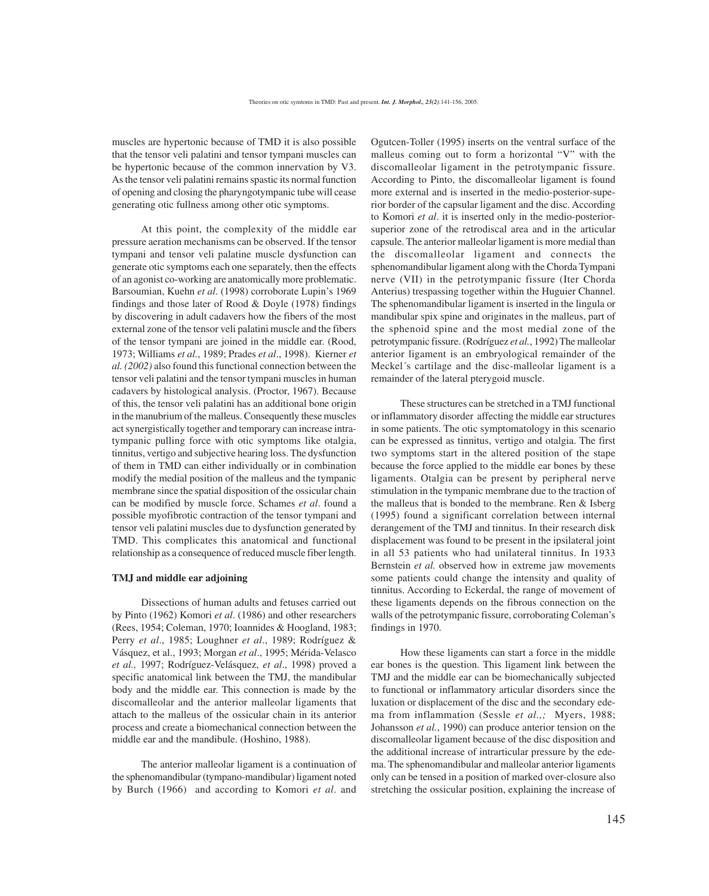muscles are hypertonic because of TMD it is also possible that the tensor veli palatini and tensor tympani muscles can be hypertonic because of the common innervation by V3. As the tensor veli palatini remains spastic its normal function of opening and closing the pharyngotympanic tube will cease generating otic fullness among other otic symptoms.

At this point, the complexity of the middle ear pressure aeration mechanisms can be observed. If the tensor tympani and tensor veli palatine muscle dysfunction can generate otic symptoms each one separately, then the effects of an agonist co-working are anatomically more problematic. Barsoumian, Kuehn *et al*. (1998) corroborate Lupin's 1969 findings and those later of Rood & Doyle (1978) findings by discovering in adult cadavers how the fibers of the most external zone of the tensor veli palatini muscle and the fibers of the tensor tympani are joined in the middle ear. (Rood, 1973; Williams *et al.*, 1989; Prades *et al*., 1998). Kierner *et al. (2002)* also found this functional connection between the tensor veli palatini and the tensor tympani muscles in human cadavers by histological analysis. (Proctor, 1967). Because of this, the tensor veli palatini has an additional bone origin in the manubrium of the malleus. Consequently these muscles act synergistically together and temporary can increase intratympanic pulling force with otic symptoms like otalgia, tinnitus, vertigo and subjective hearing loss. The dysfunction of them in TMD can either individually or in combination modify the medial position of the malleus and the tympanic membrane since the spatial disposition of the ossicular chain can be modified by muscle force. Schames *et al*. found a possible myofibrotic contraction of the tensor tympani and tensor veli palatini muscles due to dysfunction generated by TMD. This complicates this anatomical and functional relationship as a consequence of reduced muscle fiber length.

#### **TMJ and middle ear adjoining**

Dissections of human adults and fetuses carried out by Pinto (1962) Komori *et al*. (1986) and other researchers (Rees, 1954; Coleman, 1970; Ioannides & Hoogland, 1983; Perry *et al*., 1985; Loughner *et al*., 1989; Rodríguez & Vásquez, et al., 1993; Morgan *et al*., 1995; Mérida-Velasco *et al.,* 1997; Rodríguez-Velásquez, *et al*., 1998) proved a specific anatomical link between the TMJ, the mandibular body and the middle ear. This connection is made by the discomalleolar and the anterior malleolar ligaments that attach to the malleus of the ossicular chain in its anterior process and create a biomechanical connection between the middle ear and the mandibule. (Hoshino, 1988).

The anterior malleolar ligament is a continuation of the sphenomandibular (tympano-mandibular) ligament noted by Burch (1966) and according to Komori *et al*. and

Ogutcen-Toller (1995) inserts on the ventral surface of the malleus coming out to form a horizontal "V" with the discomalleolar ligament in the petrotympanic fissure. According to Pinto, the discomalleolar ligament is found more external and is inserted in the medio-posterior-superior border of the capsular ligament and the disc. According to Komori *et al*. it is inserted only in the medio-posteriorsuperior zone of the retrodiscal area and in the articular capsule. The anterior malleolar ligament is more medial than the discomalleolar ligament and connects the sphenomandibular ligament along with the Chorda Tympani nerve (VII) in the petrotympanic fissure (Iter Chorda Anterius) trespassing together within the Huguier Channel. The sphenomandibular ligament is inserted in the lingula or mandibular spix spine and originates in the malleus, part of the sphenoid spine and the most medial zone of the petrotympanic fissure. (Rodríguez *et al.*, 1992) The malleolar anterior ligament is an embryological remainder of the Meckel´s cartilage and the disc-malleolar ligament is a remainder of the lateral pterygoid muscle.

These structures can be stretched in a TMJ functional or inflammatory disorder affecting the middle ear structures in some patients. The otic symptomatology in this scenario can be expressed as tinnitus, vertigo and otalgia. The first two symptoms start in the altered position of the stape because the force applied to the middle ear bones by these ligaments. Otalgia can be present by peripheral nerve stimulation in the tympanic membrane due to the traction of the malleus that is bonded to the membrane. Ren & Isberg (1995) found a significant correlation between internal derangement of the TMJ and tinnitus. In their research disk displacement was found to be present in the ipsilateral joint in all 53 patients who had unilateral tinnitus. In 1933 Bernstein *et al.* observed how in extreme jaw movements some patients could change the intensity and quality of tinnitus. According to Eckerdal, the range of movement of these ligaments depends on the fibrous connection on the walls of the petrotympanic fissure, corroborating Coleman's findings in 1970.

How these ligaments can start a force in the middle ear bones is the question. This ligament link between the TMJ and the middle ear can be biomechanically subjected to functional or inflammatory articular disorders since the luxation or displacement of the disc and the secondary edema from inflammation (Sessle *et al.,;* Myers, 1988; Johansson *et al.*, 1990) can produce anterior tension on the discomalleolar ligament because of the disc disposition and the additional increase of intrarticular pressure by the edema. The sphenomandibular and malleolar anterior ligaments only can be tensed in a position of marked over-closure also stretching the ossicular position, explaining the increase of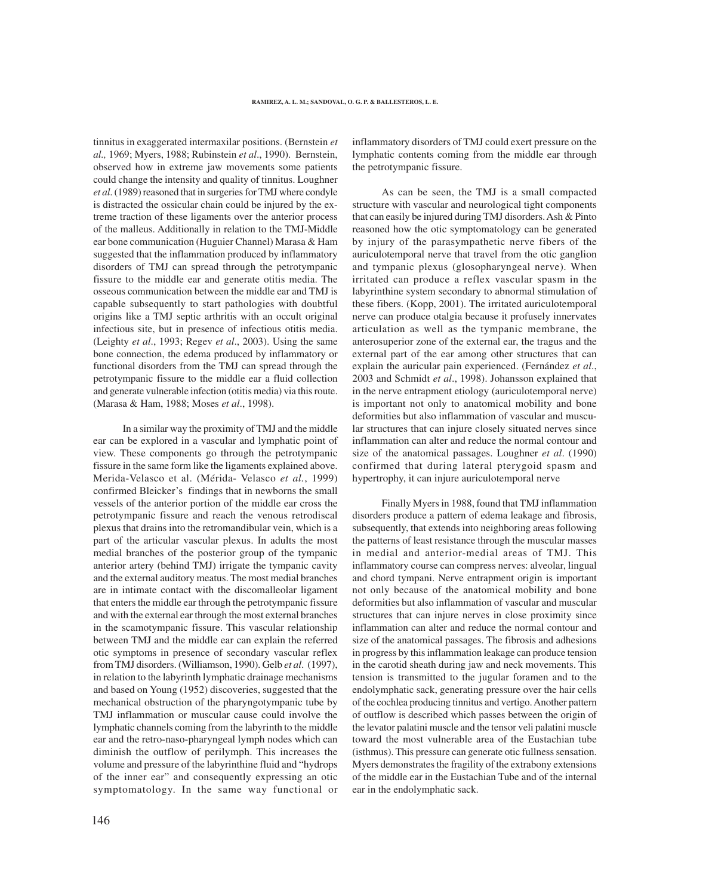tinnitus in exaggerated intermaxilar positions. (Bernstein *et al.,* 1969; Myers, 1988; Rubinstein *et al*., 1990). Bernstein, observed how in extreme jaw movements some patients could change the intensity and quality of tinnitus. Loughner *et al*. (1989) reasoned that in surgeries for TMJ where condyle is distracted the ossicular chain could be injured by the extreme traction of these ligaments over the anterior process of the malleus. Additionally in relation to the TMJ-Middle ear bone communication (Huguier Channel) Marasa & Ham suggested that the inflammation produced by inflammatory disorders of TMJ can spread through the petrotympanic fissure to the middle ear and generate otitis media. The osseous communication between the middle ear and TMJ is capable subsequently to start pathologies with doubtful origins like a TMJ septic arthritis with an occult original infectious site, but in presence of infectious otitis media. (Leighty *et al*., 1993; Regev *et al*., 2003). Using the same bone connection, the edema produced by inflammatory or functional disorders from the TMJ can spread through the petrotympanic fissure to the middle ear a fluid collection and generate vulnerable infection (otitis media) via this route. (Marasa & Ham, 1988; Moses *et al*., 1998).

In a similar way the proximity of TMJ and the middle ear can be explored in a vascular and lymphatic point of view. These components go through the petrotympanic fissure in the same form like the ligaments explained above. Merida-Velasco et al. (Mérida- Velasco *et al.*, 1999) confirmed Bleicker's findings that in newborns the small vessels of the anterior portion of the middle ear cross the petrotympanic fissure and reach the venous retrodiscal plexus that drains into the retromandibular vein, which is a part of the articular vascular plexus. In adults the most medial branches of the posterior group of the tympanic anterior artery (behind TMJ) irrigate the tympanic cavity and the external auditory meatus. The most medial branches are in intimate contact with the discomalleolar ligament that enters the middle ear through the petrotympanic fissure and with the external ear through the most external branches in the scamotympanic fissure. This vascular relationship between TMJ and the middle ear can explain the referred otic symptoms in presence of secondary vascular reflex from TMJ disorders. (Williamson, 1990). Gelb *et al*. (1997), in relation to the labyrinth lymphatic drainage mechanisms and based on Young (1952) discoveries, suggested that the mechanical obstruction of the pharyngotympanic tube by TMJ inflammation or muscular cause could involve the lymphatic channels coming from the labyrinth to the middle ear and the retro-naso-pharyngeal lymph nodes which can diminish the outflow of perilymph. This increases the volume and pressure of the labyrinthine fluid and "hydrops of the inner ear" and consequently expressing an otic symptomatology. In the same way functional or

inflammatory disorders of TMJ could exert pressure on the lymphatic contents coming from the middle ear through the petrotympanic fissure.

As can be seen, the TMJ is a small compacted structure with vascular and neurological tight components that can easily be injured during TMJ disorders. Ash & Pinto reasoned how the otic symptomatology can be generated by injury of the parasympathetic nerve fibers of the auriculotemporal nerve that travel from the otic ganglion and tympanic plexus (glosopharyngeal nerve). When irritated can produce a reflex vascular spasm in the labyrinthine system secondary to abnormal stimulation of these fibers. (Kopp, 2001). The irritated auriculotemporal nerve can produce otalgia because it profusely innervates articulation as well as the tympanic membrane, the anterosuperior zone of the external ear, the tragus and the external part of the ear among other structures that can explain the auricular pain experienced. (Fernández *et al*., 2003 and Schmidt *et al*., 1998). Johansson explained that in the nerve entrapment etiology (auriculotemporal nerve) is important not only to anatomical mobility and bone deformities but also inflammation of vascular and muscular structures that can injure closely situated nerves since inflammation can alter and reduce the normal contour and size of the anatomical passages. Loughner *et al*. (1990) confirmed that during lateral pterygoid spasm and hypertrophy, it can injure auriculotemporal nerve

Finally Myers in 1988, found that TMJ inflammation disorders produce a pattern of edema leakage and fibrosis, subsequently, that extends into neighboring areas following the patterns of least resistance through the muscular masses in medial and anterior-medial areas of TMJ. This inflammatory course can compress nerves: alveolar, lingual and chord tympani. Nerve entrapment origin is important not only because of the anatomical mobility and bone deformities but also inflammation of vascular and muscular structures that can injure nerves in close proximity since inflammation can alter and reduce the normal contour and size of the anatomical passages. The fibrosis and adhesions in progress by this inflammation leakage can produce tension in the carotid sheath during jaw and neck movements. This tension is transmitted to the jugular foramen and to the endolymphatic sack, generating pressure over the hair cells of the cochlea producing tinnitus and vertigo. Another pattern of outflow is described which passes between the origin of the levator palatini muscle and the tensor veli palatini muscle toward the most vulnerable area of the Eustachian tube (isthmus). This pressure can generate otic fullness sensation. Myers demonstrates the fragility of the extrabony extensions of the middle ear in the Eustachian Tube and of the internal ear in the endolymphatic sack.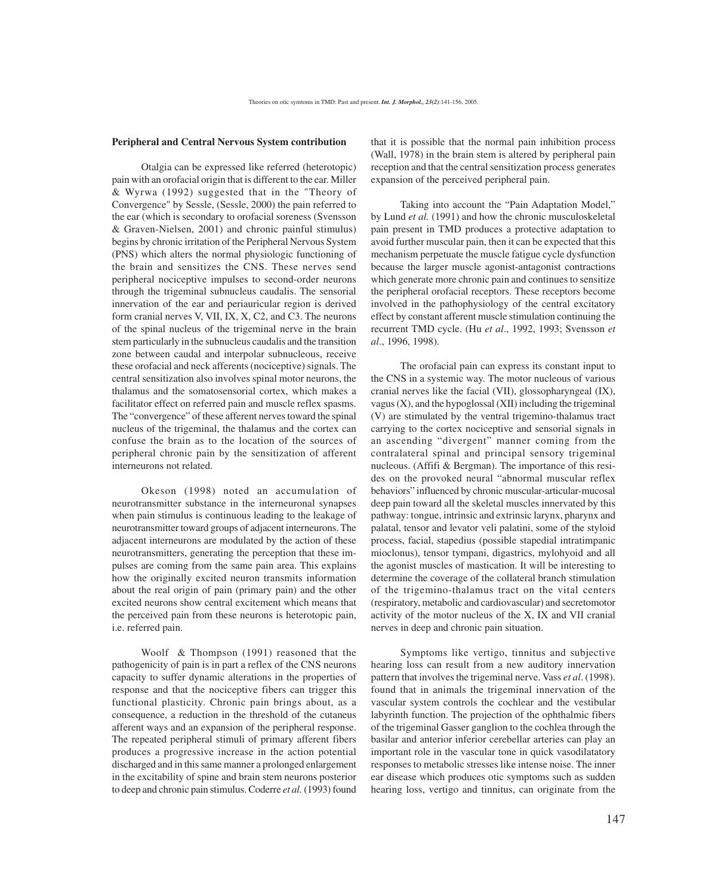#### **Peripheral and Central Nervous System contribution**

Otalgia can be expressed like referred (heterotopic) pain with an orofacial origin that is different to the ear. Miller & Wyrwa (1992) suggested that in the "Theory of Convergence" by Sessle, (Sessle, 2000) the pain referred to the ear (which is secondary to orofacial soreness (Svensson & Graven-Nielsen, 2001) and chronic painful stimulus) begins by chronic irritation of the Peripheral Nervous System (PNS) which alters the normal physiologic functioning of the brain and sensitizes the CNS. These nerves send peripheral nociceptive impulses to second-order neurons through the trigeminal subnucleus caudalis. The sensorial innervation of the ear and periauricular region is derived form cranial nerves V, VII, IX, X, C2, and C3. The neurons of the spinal nucleus of the trigeminal nerve in the brain stem particularly in the subnucleus caudalis and the transition zone between caudal and interpolar subnucleous, receive these orofacial and neck afferents (nociceptive) signals. The central sensitization also involves spinal motor neurons, the thalamus and the somatosensorial cortex, which makes a facilitator effect on referred pain and muscle reflex spasms. The "convergence" of these afferent nerves toward the spinal nucleus of the trigeminal, the thalamus and the cortex can confuse the brain as to the location of the sources of peripheral chronic pain by the sensitization of afferent interneurons not related.

Okeson (1998) noted an accumulation of neurotransmitter substance in the interneuronal synapses when pain stimulus is continuous leading to the leakage of neurotransmitter toward groups of adjacent interneurons. The adjacent interneurons are modulated by the action of these neurotransmitters, generating the perception that these impulses are coming from the same pain area. This explains how the originally excited neuron transmits information about the real origin of pain (primary pain) and the other excited neurons show central excitement which means that the perceived pain from these neurons is heterotopic pain, i.e. referred pain.

Woolf & Thompson (1991) reasoned that the pathogenicity of pain is in part a reflex of the CNS neurons capacity to suffer dynamic alterations in the properties of response and that the nociceptive fibers can trigger this functional plasticity. Chronic pain brings about, as a consequence, a reduction in the threshold of the cutaneus afferent ways and an expansion of the peripheral response. The repeated peripheral stimuli of primary afferent fibers produces a progressive increase in the action potential discharged and in this same manner a prolonged enlargement in the excitability of spine and brain stem neurons posterior to deep and chronic pain stimulus. Coderre *et al.* (1993) found

that it is possible that the normal pain inhibition process (Wall, 1978) in the brain stem is altered by peripheral pain reception and that the central sensitization process generates expansion of the perceived peripheral pain.

Taking into account the "Pain Adaptation Model," by Lund *et al.* (1991) and how the chronic musculoskeletal pain present in TMD produces a protective adaptation to avoid further muscular pain, then it can be expected that this mechanism perpetuate the muscle fatigue cycle dysfunction because the larger muscle agonist-antagonist contractions which generate more chronic pain and continues to sensitize the peripheral orofacial receptors. These receptors become involved in the pathophysiology of the central excitatory effect by constant afferent muscle stimulation continuing the recurrent TMD cycle. (Hu *et al*., 1992, 1993; Svensson *et al*., 1996, 1998).

The orofacial pain can express its constant input to the CNS in a systemic way. The motor nucleous of various cranial nerves like the facial (VII), glossopharyngeal (IX), vagus (X), and the hypoglossal (XII) including the trigeminal (V) are stimulated by the ventral trigemino-thalamus tract carrying to the cortex nociceptive and sensorial signals in an ascending "divergent" manner coming from the contralateral spinal and principal sensory trigeminal nucleous. (Affifi & Bergman). The importance of this resides on the provoked neural "abnormal muscular reflex behaviors" influenced by chronic muscular-articular-mucosal deep pain toward all the skeletal muscles innervated by this pathway: tongue, intrinsic and extrinsic larynx, pharynx and palatal, tensor and levator veli palatini, some of the styloid process, facial, stapedius (possible stapedial intratimpanic mioclonus), tensor tympani, digastrics, mylohyoid and all the agonist muscles of mastication. It will be interesting to determine the coverage of the collateral branch stimulation of the trigemino-thalamus tract on the vital centers (respiratory, metabolic and cardiovascular) and secretomotor activity of the motor nucleus of the X, IX and VII cranial nerves in deep and chronic pain situation.

Symptoms like vertigo, tinnitus and subjective hearing loss can result from a new auditory innervation pattern that involves the trigeminal nerve. Vass *et al*. (1998). found that in animals the trigeminal innervation of the vascular system controls the cochlear and the vestibular labyrinth function. The projection of the ophthalmic fibers of the trigeminal Gasser ganglion to the cochlea through the basilar and anterior inferior cerebellar arteries can play an important role in the vascular tone in quick vasodilatatory responses to metabolic stresses like intense noise. The inner ear disease which produces otic symptoms such as sudden hearing loss, vertigo and tinnitus, can originate from the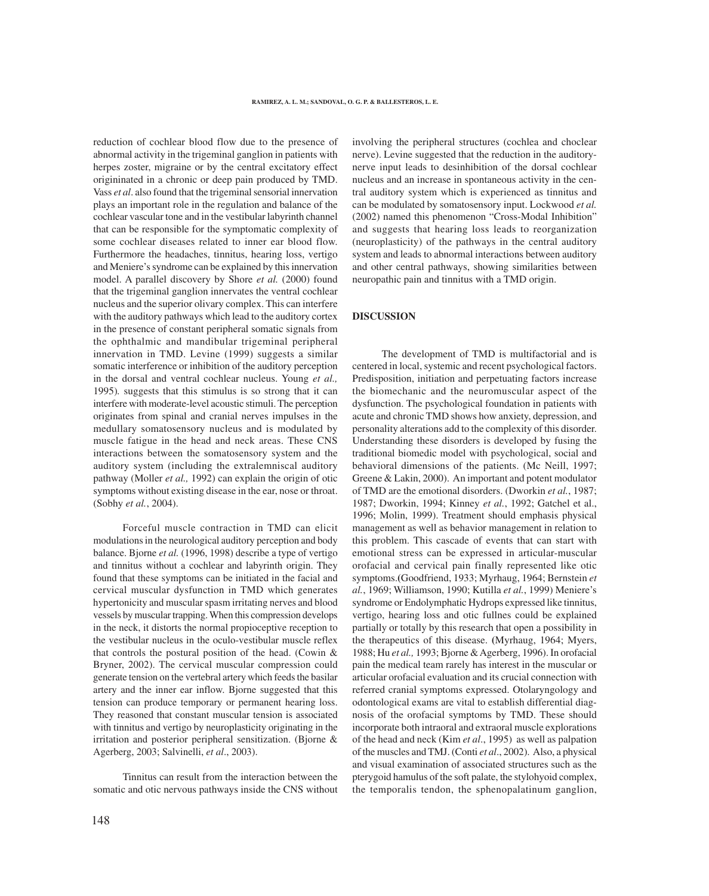reduction of cochlear blood flow due to the presence of abnormal activity in the trigeminal ganglion in patients with herpes zoster, migraine or by the central excitatory effect origininated in a chronic or deep pain produced by TMD. Vass *et al*. also found that the trigeminal sensorial innervation plays an important role in the regulation and balance of the cochlear vascular tone and in the vestibular labyrinth channel that can be responsible for the symptomatic complexity of some cochlear diseases related to inner ear blood flow. Furthermore the headaches, tinnitus, hearing loss, vertigo and Meniere's syndrome can be explained by this innervation model. A parallel discovery by Shore *et al.* (2000) found that the trigeminal ganglion innervates the ventral cochlear nucleus and the superior olivary complex. This can interfere with the auditory pathways which lead to the auditory cortex in the presence of constant peripheral somatic signals from the ophthalmic and mandibular trigeminal peripheral innervation in TMD. Levine (1999) suggests a similar somatic interference or inhibition of the auditory perception in the dorsal and ventral cochlear nucleus. Young *et al.,* 1995)*.* suggests that this stimulus is so strong that it can interfere with moderate-level acoustic stimuli. The perception originates from spinal and cranial nerves impulses in the medullary somatosensory nucleus and is modulated by muscle fatigue in the head and neck areas. These CNS interactions between the somatosensory system and the auditory system (including the extralemniscal auditory pathway (Moller *et al.,* 1992) can explain the origin of otic symptoms without existing disease in the ear, nose or throat. (Sobhy *et al.*, 2004).

Forceful muscle contraction in TMD can elicit modulations in the neurological auditory perception and body balance. Bjorne *et al.* (1996, 1998) describe a type of vertigo and tinnitus without a cochlear and labyrinth origin. They found that these symptoms can be initiated in the facial and cervical muscular dysfunction in TMD which generates hypertonicity and muscular spasm irritating nerves and blood vessels by muscular trapping. When this compression develops in the neck, it distorts the normal propioceptive reception to the vestibular nucleus in the oculo-vestibular muscle reflex that controls the postural position of the head. (Cowin & Bryner, 2002). The cervical muscular compression could generate tension on the vertebral artery which feeds the basilar artery and the inner ear inflow. Bjorne suggested that this tension can produce temporary or permanent hearing loss. They reasoned that constant muscular tension is associated with tinnitus and vertigo by neuroplasticity originating in the irritation and posterior peripheral sensitization. (Bjorne & Agerberg, 2003; Salvinelli, *et al*., 2003).

Tinnitus can result from the interaction between the somatic and otic nervous pathways inside the CNS without

involving the peripheral structures (cochlea and choclear nerve). Levine suggested that the reduction in the auditorynerve input leads to desinhibition of the dorsal cochlear nucleus and an increase in spontaneous activity in the central auditory system which is experienced as tinnitus and can be modulated by somatosensory input. Lockwood *et al.* (2002) named this phenomenon "Cross-Modal Inhibition" and suggests that hearing loss leads to reorganization (neuroplasticity) of the pathways in the central auditory system and leads to abnormal interactions between auditory and other central pathways, showing similarities between neuropathic pain and tinnitus with a TMD origin.

### **DISCUSSION**

The development of TMD is multifactorial and is centered in local, systemic and recent psychological factors. Predisposition, initiation and perpetuating factors increase the biomechanic and the neuromuscular aspect of the dysfunction. The psychological foundation in patients with acute and chronic TMD shows how anxiety, depression, and personality alterations add to the complexity of this disorder. Understanding these disorders is developed by fusing the traditional biomedic model with psychological, social and behavioral dimensions of the patients. (Mc Neill, 1997; Greene & Lakin, 2000). An important and potent modulator of TMD are the emotional disorders. (Dworkin *et al.*, 1987; 1987; Dworkin, 1994; Kinney *et al.*, 1992; Gatchel et al., 1996; Molin, 1999). Treatment should emphasis physical management as well as behavior management in relation to this problem. This cascade of events that can start with emotional stress can be expressed in articular-muscular orofacial and cervical pain finally represented like otic symptoms.**(**Goodfriend, 1933; Myrhaug, 1964; Bernstein *et al.*, 1969; Williamson, 1990; Kutilla *et al.*, 1999) Meniere's syndrome or Endolymphatic Hydrops expressed like tinnitus, vertigo, hearing loss and otic fullnes could be explained partially or totally by this research that open a possibility in the therapeutics of this disease. **(**Myrhaug, 1964; Myers, 1988; Hu *et al.,* 1993; Bjorne & Agerberg, 1996). In orofacial pain the medical team rarely has interest in the muscular or articular orofacial evaluation and its crucial connection with referred cranial symptoms expressed. Otolaryngology and odontological exams are vital to establish differential diagnosis of the orofacial symptoms by TMD. These should incorporate both intraoral and extraoral muscle explorations of the head and neck (Kim *et al*., 1995) as well as palpation of the muscles and TMJ. (Conti *et al*., 2002). Also, a physical and visual examination of associated structures such as the pterygoid hamulus of the soft palate, the stylohyoid complex, the temporalis tendon, the sphenopalatinum ganglion,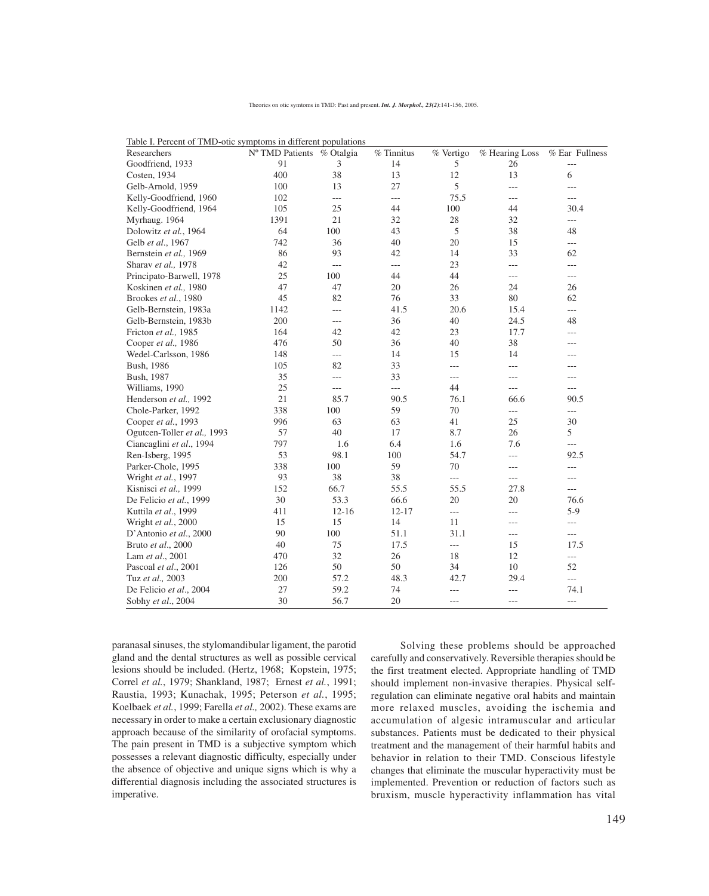| Researchers                 | Nº TMD Patients % Otalgia |                | $%$ Tinnitus             | % Vertigo      | % Hearing Loss | % Ear Fullness |
|-----------------------------|---------------------------|----------------|--------------------------|----------------|----------------|----------------|
| Goodfriend, 1933            | 91                        | 3              | 14                       | 5              | $26\,$         | $---$          |
| Costen, 1934                | 400                       | 38             | 13                       | 12             | 13             | 6              |
| Gelb-Arnold, 1959           | 100                       | 13             | 27                       | 5              | $---$          | ---            |
| Kelly-Goodfriend, 1960      | 102                       | $---$          | $---$                    | 75.5           | $---$          | ---            |
| Kelly-Goodfriend, 1964      | 105                       | 25             | 44                       | 100            | 44             | 30.4           |
| Myrhaug. 1964               | 1391                      | 21             | 32                       | 28             | 32             | $---$          |
| Dolowitz et al., 1964       | 64                        | 100            | 43                       | 5              | 38             | 48             |
| Gelb et al., 1967           | 742                       | 36             | 40                       | 20             | 15             | $---$          |
| Bernstein et al., 1969      | 86                        | 93             | 42                       | 14             | 33             | 62             |
| Sharav et al., 1978         | 42                        | $---$          | $\overline{\phantom{a}}$ | 23             | $---$          | $---$          |
| Principato-Barwell, 1978    | 25                        | 100            | 44                       | 44             | $---$          | $---$          |
| Koskinen et al., 1980       | 47                        | 47             | 20                       | 26             | 24             | 26             |
| Brookes et al., 1980        | 45                        | 82             | 76                       | 33             | 80             | 62             |
| Gelb-Bernstein, 1983a       | 1142                      | $\overline{a}$ | 41.5                     | 20.6           | 15.4           | ---            |
| Gelb-Bernstein, 1983b       | 200                       | $---$          | 36                       | 40             | 24.5           | 48             |
| Fricton et al., 1985        | 164                       | 42             | 42                       | 23             | 17.7           | $---$          |
| Cooper et al., 1986         | 476                       | 50             | 36                       | 40             | 38             | ---            |
| Wedel-Carlsson, 1986        | 148                       | $---$          | 14                       | 15             | 14             | ---            |
| Bush, 1986                  | 105                       | 82             | 33                       | $---$          | ---            | ---            |
| Bush, 1987                  | 35                        | $---$          | 33                       | $---$          | ---            | $---$          |
| Williams, 1990              | 25                        | $---$          | $---$                    | 44             | $---$          | $---$          |
| Henderson et al., 1992      | 21                        | 85.7           | 90.5                     | 76.1           | 66.6           | 90.5           |
| Chole-Parker, 1992          | 338                       | 100            | 59                       | $70\,$         | $---$          | $---$          |
| Cooper et al., 1993         | 996                       | 63             | 63                       | 41             | 25             | 30             |
| Ogutcen-Toller et al., 1993 | 57                        | 40             | 17                       | 8.7            | 26             | 5              |
| Ciancaglini et al., 1994    | 797                       | 1.6            | 6.4                      | 1.6            | 7.6            | ---            |
| Ren-Isberg, 1995            | 53                        | 98.1           | 100                      | 54.7           | $---$          | 92.5           |
| Parker-Chole, 1995          | 338                       | 100            | 59                       | 70             | ---            | $---$          |
| Wright et al., 1997         | 93                        | 38             | 38                       | $\overline{a}$ | $---$          | $---$          |
| Kisnisci et al., 1999       | 152                       | 66.7           | 55.5                     | 55.5           | 27.8           | $---$          |
| De Felicio et al., 1999     | 30                        | 53.3           | 66.6                     | 20             | 20             | 76.6           |
| Kuttila et al., 1999        | 411                       | $12 - 16$      | $12 - 17$                | $\overline{a}$ | ---            | $5-9$          |
| Wright et al., 2000         | 15                        | 15             | 14                       | 11             | ---            | $---$          |
| D'Antonio et al., 2000      | 90                        | 100            | 51.1                     | 31.1           | $---$          | $---$          |
| Bruto et al., 2000          | 40                        | 75             | 17.5                     | $\overline{a}$ | 15             | 17.5           |
| Lam et al., 2001            | 470                       | 32             | 26                       | 18             | 12             | $---$          |
| Pascoal et al., 2001        | 126                       | 50             | 50                       | 34             | 10             | 52             |
| Tuz et al., 2003            | 200                       | 57.2           | 48.3                     | 42.7           | 29.4           | $\overline{a}$ |
| De Felicio et al., 2004     | 27                        | 59.2           | 74                       | $---$          | $---$          | 74.1           |
| Sobhy et al., 2004          | 30                        | 56.7           | $20\,$                   | ---            | $---$          | $---$          |

| Table I. Percent of TMD-otic symptoms in different populations |
|----------------------------------------------------------------|
|----------------------------------------------------------------|

paranasal sinuses, the stylomandibular ligament, the parotid gland and the dental structures as well as possible cervical lesions should be included. (Hertz, 1968; Kopstein, 1975; Correl *et al.*, 1979; Shankland, 1987; Ernest *et al.*, 1991; Raustia, 1993; Kunachak, 1995; Peterson *et al.*, 1995; Koelbaek *et al.*, 1999; Farella *et al.,* 2002). These exams are necessary in order to make a certain exclusionary diagnostic approach because of the similarity of orofacial symptoms. The pain present in TMD is a subjective symptom which possesses a relevant diagnostic difficulty, especially under the absence of objective and unique signs which is why a differential diagnosis including the associated structures is imperative.

Solving these problems should be approached carefully and conservatively. Reversible therapies should be the first treatment elected. Appropriate handling of TMD should implement non-invasive therapies. Physical selfregulation can eliminate negative oral habits and maintain more relaxed muscles, avoiding the ischemia and accumulation of algesic intramuscular and articular substances. Patients must be dedicated to their physical treatment and the management of their harmful habits and behavior in relation to their TMD. Conscious lifestyle changes that eliminate the muscular hyperactivity must be implemented. Prevention or reduction of factors such as bruxism, muscle hyperactivity inflammation has vital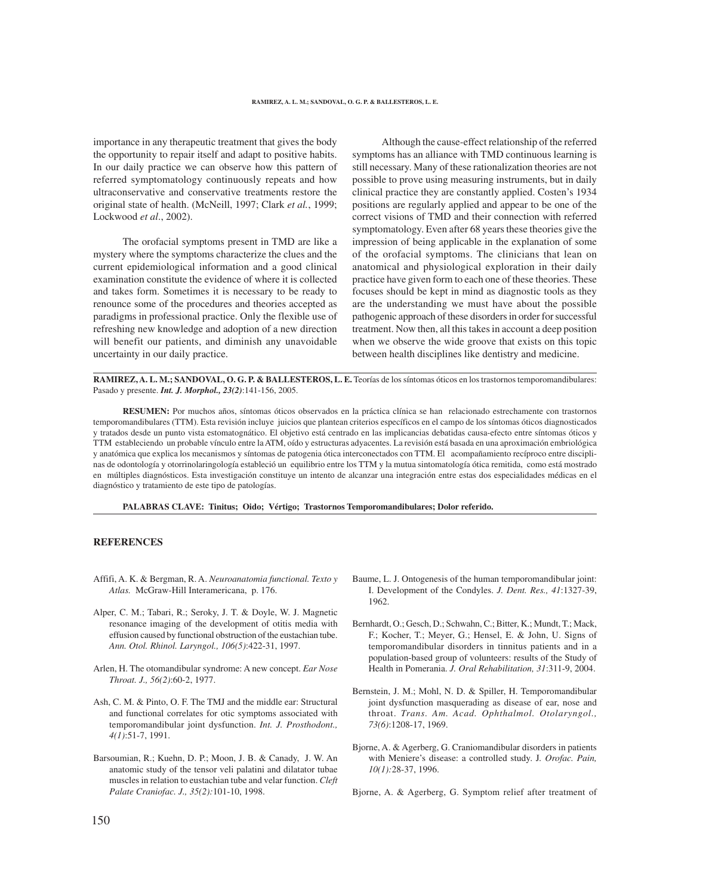importance in any therapeutic treatment that gives the body the opportunity to repair itself and adapt to positive habits. In our daily practice we can observe how this pattern of referred symptomatology continuously repeats and how ultraconservative and conservative treatments restore the original state of health. (McNeill, 1997; Clark *et al.*, 1999; Lockwood *et al*., 2002).

The orofacial symptoms present in TMD are like a mystery where the symptoms characterize the clues and the current epidemiological information and a good clinical examination constitute the evidence of where it is collected and takes form. Sometimes it is necessary to be ready to renounce some of the procedures and theories accepted as paradigms in professional practice. Only the flexible use of refreshing new knowledge and adoption of a new direction will benefit our patients, and diminish any unavoidable uncertainty in our daily practice.

Although the cause-effect relationship of the referred symptoms has an alliance with TMD continuous learning is still necessary. Many of these rationalization theories are not possible to prove using measuring instruments, but in daily clinical practice they are constantly applied. Costen's 1934 positions are regularly applied and appear to be one of the correct visions of TMD and their connection with referred symptomatology. Even after 68 years these theories give the impression of being applicable in the explanation of some of the orofacial symptoms. The clinicians that lean on anatomical and physiological exploration in their daily practice have given form to each one of these theories. These focuses should be kept in mind as diagnostic tools as they are the understanding we must have about the possible pathogenic approach of these disorders in order for successful treatment. Now then, all this takes in account a deep position when we observe the wide groove that exists on this topic between health disciplines like dentistry and medicine.

**RAMIREZ, A. L. M.; SANDOVAL, O. G. P. & BALLESTEROS, L. E.** Teorías de los síntomas óticos en los trastornos temporomandibulares: Pasado y presente. *Int. J. Morphol., 23(2)*:141-156, 2005.

**RESUMEN:** Por muchos años, síntomas óticos observados en la práctica clínica se han relacionado estrechamente con trastornos temporomandibulares (TTM). Esta revisión incluye juicios que plantean criterios específicos en el campo de los síntomas óticos diagnosticados y tratados desde un punto vista estomatognático. El objetivo está centrado en las implicancias debatidas causa-efecto entre síntomas óticos y TTM estableciendo un probable vínculo entre la ATM, oído y estructuras adyacentes. La revisión está basada en una aproximación embriológica y anatómica que explica los mecanismos y síntomas de patogenia ótica interconectados con TTM. El acompañamiento recíproco entre disciplinas de odontología y otorrinolaringología estableció un equilibrio entre los TTM y la mutua sintomatología ótica remitida, como está mostrado en múltiples diagnósticos. Esta investigación constituye un intento de alcanzar una integración entre estas dos especialidades médicas en el diagnóstico y tratamiento de este tipo de patologías.

**PALABRAS CLAVE: Tinitus; Oido; Vértigo; Trastornos Temporomandibulares; Dolor referido.**

## **REFERENCES**

- Affifi, A. K. & Bergman, R. A. *Neuroanatomia functional. Texto y Atlas.* McGraw-Hill Interamericana, p. 176.
- Alper, C. M.; Tabari, R.; Seroky, J. T. & Doyle, W. J. Magnetic resonance imaging of the development of otitis media with effusion caused by functional obstruction of the eustachian tube. *Ann. Otol. Rhinol. Laryngol., 106(5)*:422-31, 1997.
- Arlen, H. The otomandibular syndrome: A new concept. *Ear Nose Throat. J., 56(2)*:60-2, 1977.
- Ash, C. M. & Pinto, O. F. The TMJ and the middle ear: Structural and functional correlates for otic symptoms associated with temporomandibular joint dysfunction. *Int. J. Prosthodont., 4(1)*:51-7, 1991.
- Barsoumian, R.; Kuehn, D. P.; Moon, J. B. & Canady, J. W. An anatomic study of the tensor veli palatini and dilatator tubae muscles in relation to eustachian tube and velar function. *Cleft Palate Craniofac. J., 35(2):*101-10, 1998.
- Baume, L. J. Ontogenesis of the human temporomandibular joint: I. Development of the Condyles. *J. Dent. Res., 41*:1327-39, 1962.
- Bernhardt, O.; Gesch, D.; Schwahn, C.; Bitter, K.; Mundt, T.; Mack, F.; Kocher, T.; Meyer, G.; Hensel, E. & John, U. Signs of temporomandibular disorders in tinnitus patients and in a population-based group of volunteers: results of the Study of Health in Pomerania. *J. Oral Rehabilitation, 31*:311-9, 2004.
- Bernstein, J. M.; Mohl, N. D. & Spiller, H. Temporomandibular joint dysfunction masquerading as disease of ear, nose and throat. *Trans. Am. Acad. Ophthalmol. Otolaryngol., 73(6)*:1208-17, 1969.
- Bjorne, A. & Agerberg, G. Craniomandibular disorders in patients with Meniere's disease: a controlled study. J*. Orofac. Pain, 10(1):*28-37, 1996.

Bjorne, A. & Agerberg, G. Symptom relief after treatment of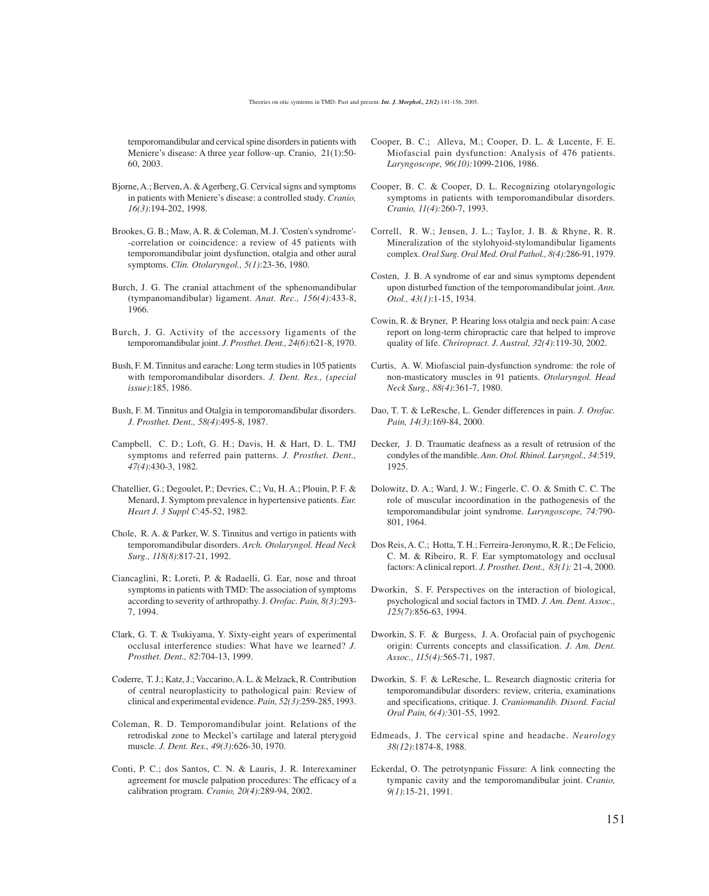temporomandibular and cervical spine disorders in patients with Meniere's disease: A three year follow-up. Cranio, 21(1):50- 60, 2003.

- Bjorne, A.; Berven, A. & Agerberg, G. Cervical signs and symptoms in patients with Meniere's disease: a controlled study. *Cranio, 16(3)*:194-202, 1998.
- Brookes, G. B.; Maw, A. R. & Coleman, M. J. 'Costen's syndrome'- -correlation or coincidence: a review of 45 patients with temporomandibular joint dysfunction, otalgia and other aural symptoms. *Clin. Otolaryngol., 5(1)*:23-36, 1980.
- Burch, J. G. The cranial attachment of the sphenomandibular (tympanomandibular) ligament. *Anat. Rec., 156(4)*:433-8, 1966.
- Burch, J. G. Activity of the accessory ligaments of the temporomandibular joint. *J. Prosthet. Dent., 24(6)*:621-8, 1970.
- Bush, F. M. Tinnitus and earache: Long term studies in 105 patients with temporomandibular disorders. *J. Dent. Res., (special issue)*:185, 1986.
- Bush, F. M. Tinnitus and Otalgia in temporomandibular disorders. *J. Prosthet. Dent., 58(4)*:495-8, 1987.
- Campbell, C. D.; Loft, G. H.; Davis, H. & Hart, D. L. TMJ symptoms and referred pain patterns. *J. Prosthet. Dent., 47(4)*:430-3, 1982.
- Chatellier, G.; Degoulet, P.; Devries, C.; Vu, H. A.; Plouin, P. F. & Menard, J. Symptom prevalence in hypertensive patients. *Eur. Heart J. 3 Suppl C*:45-52, 1982.
- Chole, R. A. & Parker, W. S. Tinnitus and vertigo in patients with temporomandibular disorders. *Arch. Otolaryngol. Head Neck Surg., 118(8)*:817-21, 1992.
- Ciancaglini, R; Loreti, P. & Radaelli, G. Ear, nose and throat symptoms in patients with TMD: The association of symptoms according to severity of arthropathy. J. *Orofac. Pain, 8(3)*:293- 7, 1994.
- Clark, G. T. & Tsukiyama, Y. Sixty-eight years of experimental occlusal interference studies: What have we learned? *J. Prosthet. Dent., 82*:704-13, 1999.
- Coderre, T. J.; Katz, J.; Vaccarino, A. L. & Melzack, R. Contribution of central neuroplasticity to pathological pain: Review of clinical and experimental evidence. *Pain, 52(3)*:259-285, 1993.
- Coleman, R. D. Temporomandibular joint. Relations of the retrodiskal zone to Meckel's cartilage and lateral pterygoid muscle. *J. Dent. Res., 49(3)*:626-30, 1970.
- Conti, P. C.; dos Santos, C. N. & Lauris, J. R. Interexaminer agreement for muscle palpation procedures: The efficacy of a calibration program. *Cranio, 20(4)*:289-94, 2002.
- Cooper, B. C.; Alleva, M.; Cooper, D. L. & Lucente, F. E. Miofascial pain dysfunction: Analysis of 476 patients. *Laryngoscope, 96(10):*1099-2106, 1986.
- Cooper, B. C. & Cooper, D. L. Recognizing otolaryngologic symptoms in patients with temporomandibular disorders. *Cranio, 11(4):*260-7, 1993.
- Correll, R. W.; Jensen, J. L.; Taylor, J. B. & Rhyne, R. R. Mineralization of the stylohyoid-stylomandibular ligaments complex. *Oral Surg. Oral Med. Oral Pathol., 8(4):*286-91, 1979.
- Costen, J. B. A syndrome of ear and sinus symptoms dependent upon disturbed function of the temporomandibular joint. *Ann. Otol., 43(1)*:1-15, 1934.
- Cowin, R. & Bryner, P. Hearing loss otalgia and neck pain: A case report on long-term chiropractic care that helped to improve quality of life. *Chriropract. J. Austral, 32(4)*:119-30, 2002.
- Curtis, A. W. Miofascial pain-dysfunction syndrome: the role of non-masticatory muscles in 91 patients. *Otolaryngol. Head Neck Surg., 88(4)*:361-7, 1980.
- Dao, T. T. & LeResche, L. Gender differences in pain. *J. Orofac. Pain, 14(3)*:169-84, 2000.
- Decker, J. D. Traumatic deafness as a result of retrusion of the condyles of the mandible. *Ann. Otol. Rhinol. Laryngol., 34*:519, 1925.
- Dolowitz, D. A.; Ward, J. W.; Fingerle, C. O. & Smith C. C. The role of muscular incoordination in the pathogenesis of the temporomandibular joint syndrome. *Laryngoscope, 74:*790- 801, 1964.
- Dos Reis, A. C.; Hotta, T. H.; Ferreira-Jeronymo, R. R.; De Felicio, C. M. & Ribeiro, R. F. Ear symptomatology and occlusal factors: A clinical report. *J. Prosthet. Dent., 83(1):* 21-4, 2000.
- Dworkin, S. F. Perspectives on the interaction of biological, psychological and social factors in TMD. *J. Am. Dent. Assoc., 125(7)*:856-63, 1994.
- Dworkin, S. F. & Burgess, J. A. Orofacial pain of psychogenic origin: Currents concepts and classification. *J. Am. Dent. Assoc., 115(4):*565-71, 1987.
- Dworkin, S. F. & LeResche, L. Research diagnostic criteria for temporomandibular disorders: review, criteria, examinations and specifications, critique. J*. Craniomandib. Disord. Facial Oral Pain, 6(4):*301-55, 1992.
- Edmeads, J. The cervical spine and headache. *Neurology 38(12)*:1874-8, 1988.
- Eckerdal, O. The petrotynpanic Fissure: A link connecting the tympanic cavity and the temporomandibular joint. C*ranio, 9(1)*:15-21, 1991.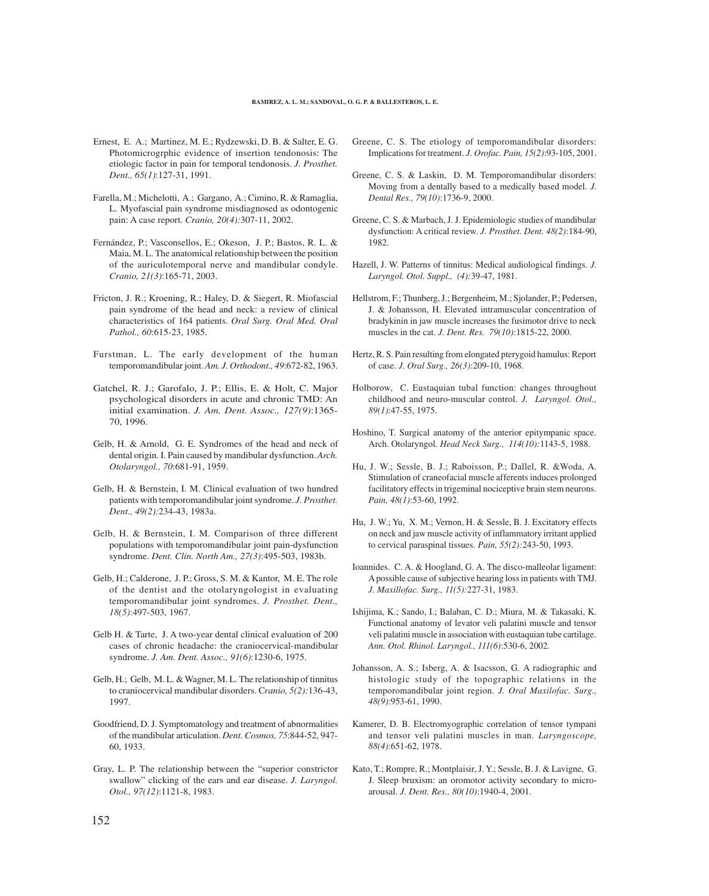- Ernest, E. A.; Martinez, M. E.; Rydzewski, D. B. & Salter, E. G. Photomicrogrphic evidence of insertion tendonosis: The etiologic factor in pain for temporal tendonosis. *J. Prosthet. Dent., 65(1)*:127-31, 1991.
- Farella, M.; Michelotti, A.; Gargano, A.; Cimino, R. & Ramaglia, L. Myofascial pain syndrome misdiagnosed as odontogenic pain: A case report. *Cranio, 20(4):*307-11, 2002.
- Fernández, P.; Vasconsellos, E.; Okeson, J. P.; Bastos, R. L. & Maia, M. L. The anatomical relationship between the position of the auriculotemporal nerve and mandibular condyle. *Cranio, 21(3)*:165-71, 2003.
- Fricton, J. R.; Kroening, R.; Haley, D. & Siegert, R. Miofascial pain syndrome of the head and neck: a review of clinical characteristics of 164 patients. *Oral Surg. Oral Med. Oral Pathol., 60*:615-23, 1985.
- Furstman, L. The early development of the human temporomandibular joint. *Am. J. Orthodont., 49*:672-82, 1963.
- Gatchel, R. J.; Garofalo, J. P.; Ellis, E. & Holt, C. Major psychological disorders in acute and chronic TMD: An initial examination. *J. Am. Dent. Assoc., 127(9)*:1365- 70, 1996.
- Gelb, H. & Arnold, G. E. Syndromes of the head and neck of dental origin. I. Pain caused by mandibular dysfunction. *Arch. Otolaryngol., 70*:681-91, 1959.
- Gelb, H. & Bernstein, I. M. Clinical evaluation of two hundred patients with temporomandibular joint syndrome. *J. Prosthet. Dent., 49(2):*234-43, 1983a.
- Gelb, H. & Bernstein, I. M. Comparison of three different populations with temporomandibular joint pain-dysfunction syndrome. *Dent. Clin. North Am., 27(3)*:495-503, 1983b.
- Gelb, H.; Calderone, J. P.; Gross, S. M. & Kantor, M. E. The role of the dentist and the otolaryngologist in evaluating temporomandibular joint syndromes. *J. Prosthet. Dent., 18(5)*:497-503, 1967.
- Gelb H. & Tarte, J. A two-year dental clinical evaluation of 200 cases of chronic headache: the craniocervical-mandibular syndrome. *J. Am. Dent. Assoc., 91(6)*:1230-6, 1975.
- Gelb, H.; Gelb, M. L. & Wagner, M. L. The relationship of tinnitus to craniocervical mandibular disorders. C*ranio, 5(2):*136-43, 1997.
- Goodfriend, D. J. Symptomatology and treatment of abnormalities of the mandibular articulation. *Dent. Cosmos, 75*:844-52, 947- 60, 1933.
- Gray, L. P. The relationship between the "superior constrictor swallow" clicking of the ears and ear disease. *J. Laryngol. Otol., 97(12)*:1121-8, 1983.
- Greene, C. S. The etiology of temporomandibular disorders: Implications for treatment. *J. Orofac. Pain, 15(2)*:93-105, 2001.
- Greene, C. S. & Laskin, D. M. Temporomandibular disorders: Moving from a dentally based to a medically based model. *J. Dental Res., 79(10)*:1736-9, 2000.
- Greene, C. S. & Marbach, J. J. Epidemiologic studies of mandibular dysfunction: A critical review. *J. Prosthet. Dent. 48(2)*:184-90, 1982.
- Hazell, J. W. Patterns of tinnitus: Medical audiological findings. *J. Laryngol. Otol. Suppl., (4):*39-47, 1981.
- Hellstrom, F.; Thunberg, J.; Bergenheim, M.; Sjolander, P.; Pedersen, J. & Johansson, H. Elevated intramuscular concentration of bradykinin in jaw muscle increases the fusimotor drive to neck muscles in the cat. *J. Dent. Res. 79(10)*:1815-22, 2000.
- Hertz, R. S. Pain resulting from elongated pterygoid hamulus: Report of case. *J. Oral Surg., 26(3)*:209-10, 1968.
- Holborow, C. Eustaquian tubal function: changes throughout childhood and neuro-muscular control. *J. Laryngol. Otol., 89(1)*:47-55, 1975.
- Hoshino, T. Surgical anatomy of the anterior epitympanic space. Arch. Otolaryngol. *Head Neck Surg., 114(10):*1143-5, 1988.
- Hu, J. W.; Sessle, B. J.; Raboisson, P.; Dallel, R. &Woda, A. Stimulation of craneofacial muscle afferents induces prolonged facilitatory effects in trigeminal nociceptive brain stem neurons. *Pain, 48(1)*:53-60, 1992.
- Hu, J. W.; Yu, X. M.; Vernon, H. & Sessle, B. J. Excitatory effects on neck and jaw muscle activity of inflammatory irritant applied to cervical paraspinal tissues. *Pain, 55(2):*243-50, 1993.
- Ioannides. C. A. & Hoogland, G. A. The disco-malleolar ligament: A possible cause of subjective hearing loss in patients with TMJ. *J. Maxillofac. Surg., 11(5):*227-31, 1983.
- Ishijima, K.; Sando, I.; Balaban, C. D.; Miura, M. & Takasaki, K. Functional anatomy of levator veli palatini muscle and tensor veli palatini muscle in association with eustaquian tube cartilage. *Ann. Otol. Rhinol. Laryngol., 111(6)*:530-6, 2002.
- Johansson, A. S.; Isberg, A. & Isacsson, G. A radiographic and histologic study of the topographic relations in the temporomandibular joint region. *J. Oral Maxilofac. Surg., 48(9)*:953-61, 1990.
- Kamerer, D. B. Electromyographic correlation of tensor tympani and tensor veli palatini muscles in man. *Laryngoscope, 88(4)*:651-62, 1978.
- Kato, T.; Rompre, R.; Montplaisir, J. Y.; Sessle, B. J. & Lavigne, G. J. Sleep bruxism: an oromotor activity secondary to microarousal. *J. Dent. Res., 80(10)*:1940-4, 2001.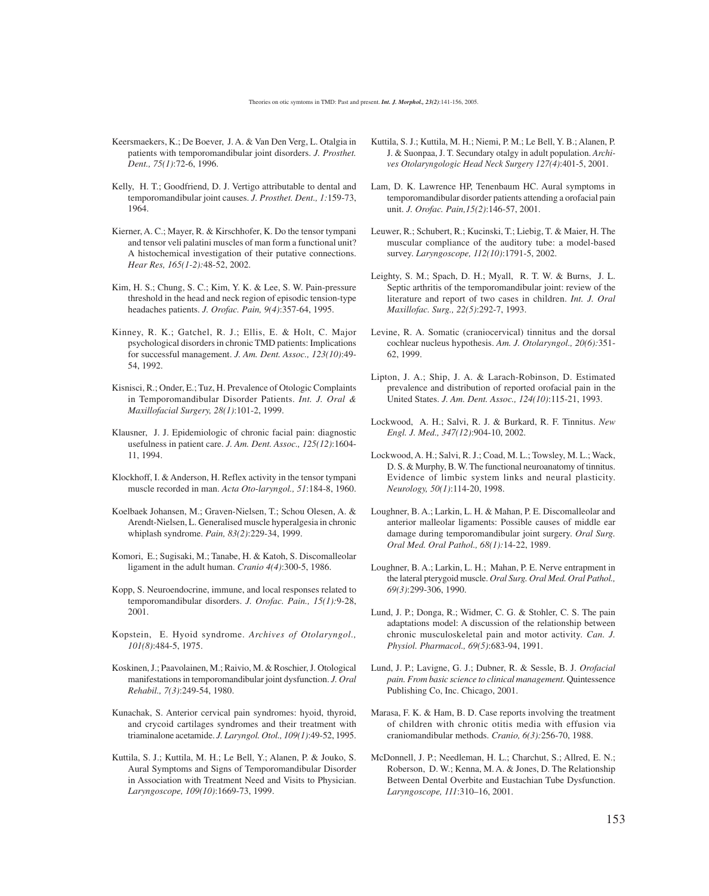- Keersmaekers, K.; De Boever, J. A. & Van Den Verg, L. Otalgia in patients with temporomandibular joint disorders. *J. Prosthet. Dent., 75(1)*:72-6, 1996.
- Kelly, H. T.; Goodfriend, D. J. Vertigo attributable to dental and temporomandibular joint causes. *J. Prosthet. Dent., 1:*159-73, 1964.
- Kierner, A. C.; Mayer, R. & Kirschhofer, K. Do the tensor tympani and tensor veli palatini muscles of man form a functional unit? A histochemical investigation of their putative connections. *Hear Res, 165(1-2):*48-52, 2002.
- Kim, H. S.; Chung, S. C.; Kim, Y. K. & Lee, S. W. Pain-pressure threshold in the head and neck region of episodic tension-type headaches patients. *J. Orofac. Pain, 9(4)*:357-64, 1995.
- Kinney, R. K.; Gatchel, R. J.; Ellis, E. & Holt, C. Major psychological disorders in chronic TMD patients: Implications for successful management. *J. Am. Dent. Assoc., 123(10)*:49- 54, 1992.
- Kisnisci, R.; Onder, E.; Tuz, H. Prevalence of Otologic Complaints in Temporomandibular Disorder Patients. *Int. J. Oral & Maxillofacial Surgery, 28(1)*:101-2, 1999.
- Klausner, J. J. Epidemiologic of chronic facial pain: diagnostic usefulness in patient care. *J. Am. Dent. Assoc., 125(12)*:1604- 11, 1994.
- Klockhoff, I. & Anderson, H. Reflex activity in the tensor tympani muscle recorded in man. *Acta Oto-laryngol., 51*:184-8, 1960.
- Koelbaek Johansen, M.; Graven-Nielsen, T.; Schou Olesen, A. & Arendt-Nielsen, L. Generalised muscle hyperalgesia in chronic whiplash syndrome. *Pain, 83(2)*:229-34, 1999.
- Komori, E.; Sugisaki, M.; Tanabe, H. & Katoh, S. Discomalleolar ligament in the adult human. *Cranio 4(4)*:300-5, 1986.
- Kopp, S. Neuroendocrine, immune, and local responses related to temporomandibular disorders. *J. Orofac. Pain., 15(1):*9-28, 2001.
- Kopstein, E. Hyoid syndrome. *Archives of Otolaryngol., 101(8)*:484-5, 1975.
- Koskinen, J.; Paavolainen, M.; Raivio, M. & Roschier, J. Otological manifestations in temporomandibular joint dysfunction. *J. Oral Rehabil., 7(3)*:249-54, 1980.
- Kunachak, S. Anterior cervical pain syndromes: hyoid, thyroid, and crycoid cartilages syndromes and their treatment with triaminalone acetamide. *J. Laryngol. Otol., 109(1)*:49-52, 1995.
- Kuttila, S. J.; Kuttila, M. H.; Le Bell, Y.; Alanen, P. & Jouko, S. Aural Symptoms and Signs of Temporomandibular Disorder in Association with Treatment Need and Visits to Physician. *Laryngoscope, 109(10)*:1669-73, 1999.
- Kuttila, S. J.; Kuttila, M. H.; Niemi, P. M.; Le Bell, Y. B.; Alanen, P. J. & Suonpaa, J. T. Secundary otalgy in adult population. *Archives Otolaryngologic Head Neck Surgery 127(4)*:401-5, 2001.
- Lam, D. K. Lawrence HP, Tenenbaum HC. Aural symptoms in temporomandibular disorder patients attending a orofacial pain unit. *J. Orofac. Pain,15(2)*:146-57, 2001.
- Leuwer, R.; Schubert, R.; Kucinski, T.; Liebig, T. & Maier, H. The muscular compliance of the auditory tube: a model-based survey. *Laryngoscope, 112(10)*:1791-5, 2002.
- Leighty, S. M.; Spach, D. H.; Myall, R. T. W. & Burns, J. L. Septic arthritis of the temporomandibular joint: review of the literature and report of two cases in children. *Int. J. Oral Maxillofac. Surg., 22(5)*:292-7, 1993.
- Levine, R. A. Somatic (craniocervical) tinnitus and the dorsal cochlear nucleus hypothesis. *Am. J. Otolaryngol., 20(6):*351- 62, 1999.
- Lipton, J. A.; Ship, J. A. & Larach-Robinson, D. Estimated prevalence and distribution of reported orofacial pain in the United States. *J. Am. Dent. Assoc., 124(10)*:115-21, 1993.
- Lockwood, A. H.; Salvi, R. J. & Burkard, R. F. Tinnitus. *New Engl. J. Med., 347(12)*:904-10, 2002.
- Lockwood, A. H.; Salvi, R. J.; Coad, M. L.; Towsley, M. L.; Wack, D. S. & Murphy, B. W. The functional neuroanatomy of tinnitus. Evidence of limbic system links and neural plasticity. *Neurology, 50(1)*:114-20, 1998.
- Loughner, B. A.; Larkin, L. H. & Mahan, P. E. Discomalleolar and anterior malleolar ligaments: Possible causes of middle ear damage during temporomandibular joint surgery. *Oral Surg. Oral Med. Oral Pathol., 68(1):*14-22, 1989.
- Loughner, B. A.; Larkin, L. H.; Mahan, P. E. Nerve entrapment in the lateral pterygoid muscle. *Oral Surg. Oral Med. Oral Pathol., 69(3)*:299-306, 1990.
- Lund, J. P.; Donga, R.; Widmer, C. G. & Stohler, C. S. The pain adaptations model: A discussion of the relationship between chronic musculoskeletal pain and motor activity. *Can. J. Physiol. Pharmacol., 69(5)*:683-94, 1991.
- Lund, J. P.; Lavigne, G. J.; Dubner, R. & Sessle, B. J. *Orofacial pain. From basic science to clinical management.* Quintessence Publishing Co, Inc. Chicago, 2001.
- Marasa, F. K. & Ham, B. D. Case reports involving the treatment of children with chronic otitis media with effusion via craniomandibular methods. *Cranio, 6(3):*256-70, 1988.
- McDonnell, J. P.; Needleman, H. L.; Charchut, S.; Allred, E. N.; Roberson, D. W.; Kenna, M. A. & Jones, D. The Relationship Between Dental Overbite and Eustachian Tube Dysfunction. *Laryngoscope, 111*:310–16, 2001.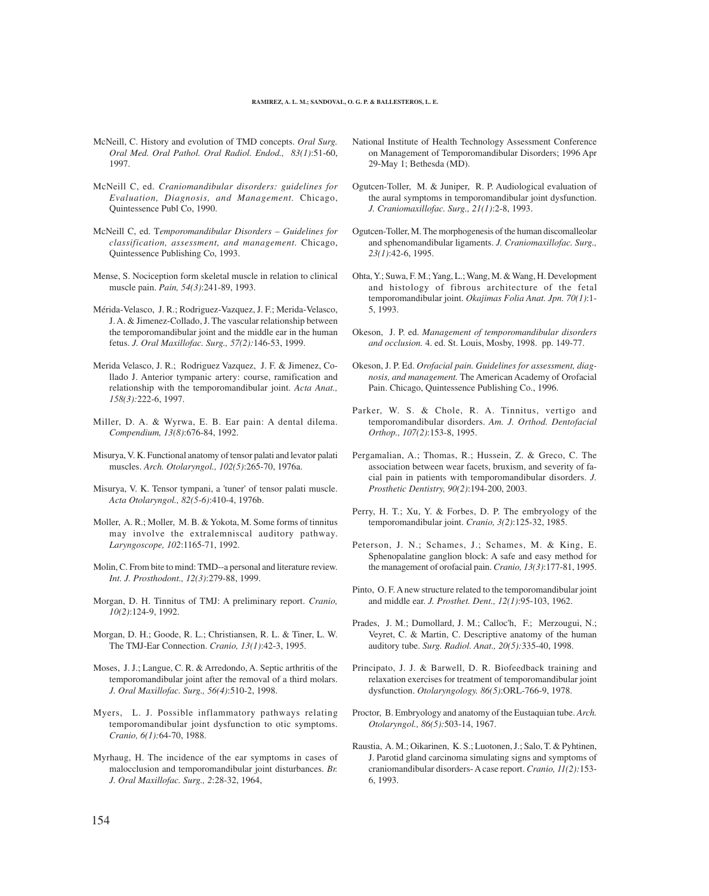- McNeill, C. History and evolution of TMD concepts. *Oral Surg. Oral Med. Oral Pathol. Oral Radiol. Endod., 83(1)*:51-60, 1997.
- McNeill C, ed. *Craniomandibular disorders: guidelines for Evaluation, Diagnosis, and Management.* Chicago, Quintessence Publ Co, 1990.
- McNeill C, ed. T*emporomandibular Disorders Guidelines for classification, assessment, and management.* Chicago, Quintessence Publishing Co, 1993.
- Mense, S. Nociception form skeletal muscle in relation to clinical muscle pain. *Pain, 54(3)*:241-89, 1993.
- Mérida-Velasco, J. R.; Rodriguez-Vazquez, J. F.; Merida-Velasco, J. A. & Jimenez-Collado, J. The vascular relationship between the temporomandibular joint and the middle ear in the human fetus. *J. Oral Maxillofac. Surg., 57(2):*146-53, 1999.
- Merida Velasco, J. R.; Rodriguez Vazquez, J. F. & Jimenez, Collado J. Anterior tympanic artery: course, ramification and relationship with the temporomandibular joint. *Acta Anat., 158(3):*222-6, 1997.
- Miller, D. A. & Wyrwa, E. B. Ear pain: A dental dilema. *Compendium, 13(8)*:676-84, 1992.
- Misurya, V. K. Functional anatomy of tensor palati and levator palati muscles. *Arch. Otolaryngol., 102(5)*:265-70, 1976a.
- Misurya, V. K. Tensor tympani, a 'tuner' of tensor palati muscle. *Acta Otolaryngol., 82(5-6)*:410-4, 1976b.
- Moller, A. R.; Moller, M. B. & Yokota, M. Some forms of tinnitus may involve the extralemniscal auditory pathway. *Laryngoscope, 102*:1165-71, 1992.
- Molin, C. From bite to mind: TMD--a personal and literature review. *Int. J. Prosthodont., 12(3)*:279-88, 1999.
- Morgan, D. H. Tinnitus of TMJ: A preliminary report. *Cranio, 10(2)*:124-9, 1992.
- Morgan, D. H.; Goode, R. L.; Christiansen, R. L. & Tiner, L. W. The TMJ-Ear Connection. *Cranio, 13(1)*:42-3, 1995.
- Moses, J. J.; Langue, C. R. & Arredondo, A. Septic arthritis of the temporomandibular joint after the removal of a third molars. *J. Oral Maxillofac. Surg., 56(4)*:510-2, 1998.
- Myers, L. J. Possible inflammatory pathways relating temporomandibular joint dysfunction to otic symptoms. *Cranio, 6(1):*64-70, 1988.
- Myrhaug, H. The incidence of the ear symptoms in cases of malocclusion and temporomandibular joint disturbances. *Br. J. Oral Maxillofac. Surg., 2*:28-32, 1964,
- National Institute of Health Technology Assessment Conference on Management of Temporomandibular Disorders; 1996 Apr 29-May 1; Bethesda (MD).
- Ogutcen-Toller, M. & Juniper, R. P. Audiological evaluation of the aural symptoms in temporomandibular joint dysfunction. *J. Craniomaxillofac. Surg., 21(1)*:2-8, 1993.
- Ogutcen-Toller, M. The morphogenesis of the human discomalleolar and sphenomandibular ligaments. *J. Craniomaxillofac. Surg., 23(1)*:42-6, 1995.
- Ohta, Y.; Suwa, F. M.; Yang, L.; Wang, M. & Wang, H. Development and histology of fibrous architecture of the fetal temporomandibular joint. *Okajimas Folia Anat. Jpn. 70(1)*:1- 5, 1993.
- Okeson, J. P. ed. *Management of temporomandibular disorders and occlusion.* 4. ed. St. Louis, Mosby, 1998. pp. 149-77.
- Okeson, J. P. Ed. *Orofacial pain. Guidelines for assessment, diagnosis, and management.* The American Academy of Orofacial Pain. Chicago, Quintessence Publishing Co., 1996.
- Parker, W. S. & Chole, R. A. Tinnitus, vertigo and temporomandibular disorders. *Am. J. Orthod. Dentofacial Orthop., 107(2)*:153-8, 1995.
- Pergamalian, A.; Thomas, R.; Hussein, Z. & Greco, C. The association between wear facets, bruxism, and severity of facial pain in patients with temporomandibular disorders. *J. Prosthetic Dentistry, 90(2)*:194-200, 2003.
- Perry, H. T.; Xu, Y. & Forbes, D. P. The embryology of the temporomandibular joint. *Cranio, 3(2)*:125-32, 1985.
- Peterson, J. N.; Schames, J.; Schames, M. & King, E. Sphenopalatine ganglion block: A safe and easy method for the management of orofacial pain. *Cranio, 13(3)*:177-81, 1995.
- Pinto, O. F. A new structure related to the temporomandibular joint and middle ear. *J. Prosthet. Dent., 12(1)*:95-103, 1962.
- Prades, J. M.; Dumollard, J. M.; Calloc'h, F.; Merzougui, N.; Veyret, C. & Martin, C. Descriptive anatomy of the human auditory tube. *Surg. Radiol. Anat., 20(5):*335-40, 1998.
- Principato, J. J. & Barwell, D. R. Biofeedback training and relaxation exercises for treatment of temporomandibular joint dysfunction. *Otolaryngology. 86(5)*:ORL-766-9, 1978.
- Proctor, B. Embryology and anatomy of the Eustaquian tube. *Arch. Otolaryngol., 86(5):*503-14, 1967.
- Raustia, A. M.; Oikarinen, K. S.; Luotonen, J.; Salo, T. & Pyhtinen, J. Parotid gland carcinoma simulating signs and symptoms of craniomandibular disorders- A case report. *Cranio, 11(2):*153- 6, 1993.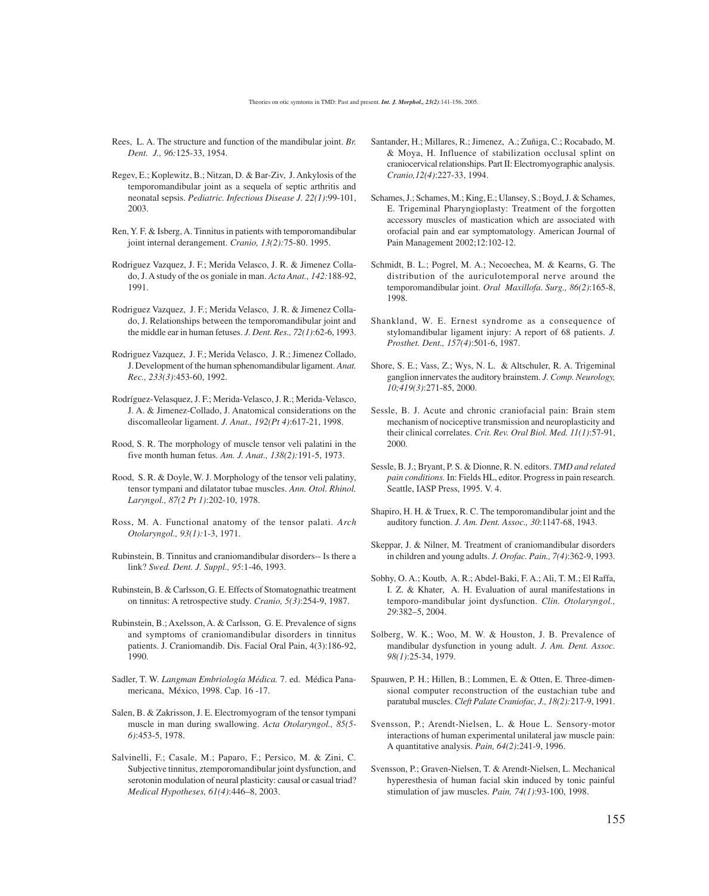- Rees, L. A. The structure and function of the mandibular joint. *Br. Dent. J., 96:*125-33, 1954.
- Regev, E.; Koplewitz, B.; Nitzan, D. & Bar-Ziv, J. Ankylosis of the temporomandibular joint as a sequela of septic arthritis and neonatal sepsis. *Pediatric. Infectious Disease J. 22(1)*:99-101, 2003.
- Ren, Y. F. & Isberg, A. Tinnitus in patients with temporomandibular joint internal derangement. *Cranio, 13(2):*75-80. 1995.
- Rodriguez Vazquez, J. F.; Merida Velasco, J. R. & Jimenez Collado, J. A study of the os goniale in man. *Acta Anat., 142:*188-92, 1991.
- Rodriguez Vazquez, J. F.; Merida Velasco, J. R. & Jimenez Collado, J. Relationships between the temporomandibular joint and the middle ear in human fetuses. *J. Dent. Res., 72(1)*:62-6, 1993.
- Rodriguez Vazquez, J. F.; Merida Velasco, J. R.; Jimenez Collado, J. Development of the human sphenomandibular ligament. *Anat. Rec., 233(3)*:453-60, 1992.
- Rodríguez-Velasquez, J. F.; Merida-Velasco, J. R.; Merida-Velasco, J. A. & Jimenez-Collado, J. Anatomical considerations on the discomalleolar ligament. *J. Anat., 192(Pt 4)*:617-21, 1998.
- Rood, S. R. The morphology of muscle tensor veli palatini in the five month human fetus. *Am. J. Anat., 138(2):*191-5, 1973.
- Rood, S. R. & Doyle, W. J. Morphology of the tensor veli palatiny, tensor tympani and dilatator tubae muscles. *Ann. Otol. Rhinol. Laryngol., 87(2 Pt 1)*:202-10, 1978.
- Ross, M. A. Functional anatomy of the tensor palati. *Arch Otolaryngol., 93(1):*1-3, 1971.
- Rubinstein, B. Tinnitus and craniomandibular disorders-- Is there a link? *Swed. Dent. J. Suppl., 95*:1-46, 1993.
- Rubinstein, B. & Carlsson, G. E. Effects of Stomatognathic treatment on tinnitus: A retrospective study. *Cranio, 5(3)*:254-9, 1987.
- Rubinstein, B.; Axelsson, A. & Carlsson, G. E. Prevalence of signs and symptoms of craniomandibular disorders in tinnitus patients. J. Craniomandib. Dis. Facial Oral Pain, 4(3):186-92, 1990.
- Sadler, T. W. *Langman Embriología Médica.* 7. ed. Médica Panamericana, México, 1998. Cap. 16 -17.
- Salen, B. & Zakrisson, J. E. Electromyogram of the tensor tympani muscle in man during swallowing. *Acta Otolaryngol., 85(5- 6)*:453-5, 1978.
- Salvinelli, F.; Casale, M.; Paparo, F.; Persico, M. & Zini, C. Subjective tinnitus, ztemporomandibular joint dysfunction, and serotonin modulation of neural plasticity: causal or casual triad? *Medical Hypotheses, 61(4)*:446–8, 2003.
- Santander, H.; Millares, R.; Jimenez, A.; Zuñiga, C.; Rocabado, M. & Moya, H. Influence of stabilization occlusal splint on craniocervical relationships. Part II: Electromyographic analysis. *Cranio,12(4)*:227-33, 1994.
- Schames, J.; Schames, M.; King, E.; Ulansey, S.; Boyd, J. & Schames, E. Trigeminal Pharyngioplasty: Treatment of the forgotten accessory muscles of mastication which are associated with orofacial pain and ear symptomatology. American Journal of Pain Management 2002;12:102-12.
- Schmidt, B. L.; Pogrel, M. A.; Necoechea, M. & Kearns, G. The distribution of the auriculotemporal nerve around the temporomandibular joint. *Oral Maxillofa. Surg., 86(2)*:165-8, 1998.
- Shankland, W. E. Ernest syndrome as a consequence of stylomandibular ligament injury: A report of 68 patients. *J. Prosthet. Dent., 157(4)*:501-6, 1987.
- Shore, S. E.; Vass, Z.; Wys, N. L. & Altschuler, R. A. Trigeminal ganglion innervates the auditory brainstem. *J. Comp. Neurology, 10;419(3)*:271-85, 2000.
- Sessle, B. J. Acute and chronic craniofacial pain: Brain stem mechanism of nociceptive transmission and neuroplasticity and their clinical correlates. *Crit. Rev. Oral Biol. Med. 11(1)*:57-91, 2000.
- Sessle, B. J.; Bryant, P. S. & Dionne, R. N. editors. *TMD and related pain conditions.* In: Fields HL, editor. Progress in pain research. Seattle, IASP Press, 1995. V. 4.
- Shapiro, H. H. & Truex, R. C. The temporomandibular joint and the auditory function. *J. Am. Dent. Assoc., 30*:1147-68, 1943.
- Skeppar, J. & Nilner, M. Treatment of craniomandibular disorders in children and young adults. *J. Orofac. Pain., 7(4)*:362-9, 1993.
- Sobhy, O. A.; Koutb, A. R.; Abdel-Baki, F. A.; Ali, T. M.; El Raffa, I. Z. & Khater, A. H. Evaluation of aural manifestations in temporo-mandibular joint dysfunction. *Clin. Otolaryngol., 29*:382–5, 2004.
- Solberg, W. K.; Woo, M. W. & Houston, J. B. Prevalence of mandibular dysfunction in young adult. *J. Am. Dent. Assoc. 98(1)*:25-34, 1979.
- Spauwen, P. H.; Hillen, B.; Lommen, E. & Otten, E. Three-dimensional computer reconstruction of the eustachian tube and paratubal muscles. *Cleft Palate Craniofac, J., 18(2):*217-9, 1991.
- Svensson, P.; Arendt-Nielsen, L. & Houe L. Sensory-motor interactions of human experimental unilateral jaw muscle pain: A quantitative analysis. *Pain, 64(2)*:241-9, 1996.
- Svensson, P.; Graven-Nielsen, T. & Arendt-Nielsen, L. Mechanical hyperesthesia of human facial skin induced by tonic painful stimulation of jaw muscles. *Pain, 74(1)*:93-100, 1998.